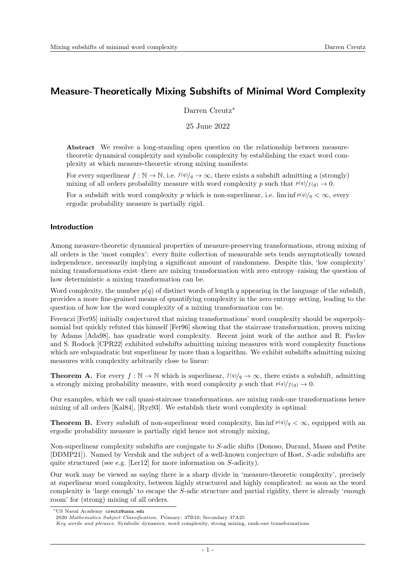# Measure-Theoretically Mixing Subshifts of Minimal Word Complexity

Darren Creutz<sup>∗</sup>

25 June 2022

Abstract We resolve a long-standing open question on the relationship between measuretheoretic dynamical complexity and symbolic complexity by establishing the exact word complexity at which measure-theoretic strong mixing manifests:

For every superlinear  $f : \mathbb{N} \to \mathbb{N}$ , i.e.  $f(q)/q \to \infty$ , there exists a subshift admitting a (strongly) mixing of all orders probability measure with word complexity p such that  $p(q)/f(q) \to 0$ .

For a subshift with word complexity p which is non-superlinear, i.e. lim inf  $p(q)/q < \infty$ , every ergodic probability measure is partially rigid.

# Introduction

Among measure-theoretic dynamical properties of measure-preserving transformations, strong mixing of all orders is the 'most complex': every finite collection of measurable sets tends asymptotically toward independence, necessarily implying a significant amount of randomness. Despite this, 'low complexity' mixing transformations exist–there are mixing transformation with zero entropy–raising the question of how deterministic a mixing transformation can be.

Word complexity, the number  $p(q)$  of distinct words of length q appearing in the language of the subshift, provides a more fine-grained means of quantifying complexity in the zero entropy setting, leading to the question of how low the word complexity of a mixing transformation can be.

Ferenczi [\[Fer95\]](#page-21-0) initially conjectured that mixing transformations' word complexity should be superpolynomial but quickly refuted this himself [\[Fer96\]](#page-21-1) showing that the staircase transformation, proven mixing by Adams [\[Ada98\]](#page-20-0), has quadratic word complexity. Recent joint work of the author and R. Pavlov and S. Rodock [\[CPR22\]](#page-21-2) exhibited subshifts admitting mixing measures with word complexity functions which are subquadratic but superlinear by more than a logarithm. We exhibit subshifts admitting mixing measures with complexity arbitrarily close to linear:

**Theorem A.** For every  $f : \mathbb{N} \to \mathbb{N}$  which is superlinear,  $f(q)/q \to \infty$ , there exists a subshift, admitting a strongly mixing probability measure, with word complexity p such that  $p(q)/f(q) \to 0$ .

Our examples, which we call quasi-staircase transformations, are mixing rank-one transformations hence mixing of all orders [\[Kal84\]](#page-21-3), [\[Ryz93\]](#page-21-4). We establish their word complexity is optimal:

**Theorem B.** Every subshift of non-superlinear word complexity, lim inf  $p(q)/q < \infty$ , equipped with an ergodic probability measure is partially rigid hence not strongly mixing,

Non-superlinear complexity subshifts are conjugate to S-adic shifts (Donoso, Durand, Maass and Petite [\[DDMP21\]](#page-21-5)). Named by Vershik and the subject of a well-known conjecture of Host, S-adic subshifts are quite structured (see e.g. [\[Ler12\]](#page-21-6) for more information on S-adicity).

Our work may be viewed as saying there is a sharp divide in 'measure-theoretic complexity', precisely at superlinear word complexity, between highly structured and highly complicated: as soon as the word complexity is 'large enough' to escape the S-adic structure and partial rigidity, there is already 'enough room' for (strong) mixing of all orders.

<sup>∗</sup>US Naval Academy creutz@usna.edu

<sup>2020</sup> Mathematics Subject Classification. Primary: 37B10; Secondary 37A25

Key words and phrases. Symbolic dynamics, word complexity, strong mixing, rank-one transformations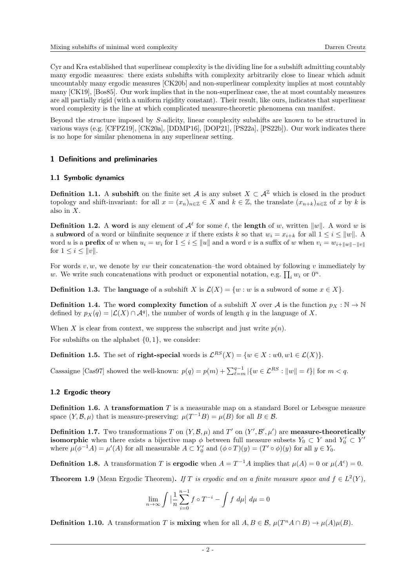Cyr and Kra established that superlinear complexity is the dividing line for a subshift admitting countably many ergodic measures: there exists subshifts with complexity arbitrarily close to linear which admit uncountably many ergodic measures [\[CK20b\]](#page-21-7) and non-superlinear complexity implies at most countably many [\[CK19\]](#page-21-8), [\[Bos85\]](#page-21-9). Our work implies that in the non-superlinear case, the at most countably measures are all partially rigid (with a uniform rigidity constant). Their result, like ours, indicates that superlinear word complexity is the line at which complicated measure-theoretic phenomena can manifest.

Beyond the structure imposed by S-adicity, linear complexity subshifts are known to be structured in various ways (e.g. [\[CFPZ19\]](#page-21-10), [\[CK20a\]](#page-21-11), [\[DDMP16\]](#page-21-12), [\[DOP21\]](#page-21-13), [\[PS22a\]](#page-21-14), [\[PS22b\]](#page-21-15)). Our work indicates there is no hope for similar phenomena in any superlinear setting.

# 1 Definitions and preliminaries

# 1.1 Symbolic dynamics

**Definition 1.1.** A subshift on the finite set A is any subset  $X \subset \mathcal{A}^{\mathbb{Z}}$  which is closed in the product topology and shift-invariant: for all  $x = (x_n)_{n \in \mathbb{Z}} \in X$  and  $k \in \mathbb{Z}$ , the translate  $(x_{n+k})_{n \in \mathbb{Z}}$  of x by k is also in X.

**Definition 1.2.** A word is any element of  $\mathcal{A}^{\ell}$  for some  $\ell$ , the **length** of w, written  $||w||$ . A word w is a subword of a word or biinfinite sequence x if there exists k so that  $w_i = x_{i+k}$  for all  $1 \leq i \leq ||w||$ . A word u is a **prefix** of w when  $u_i = w_i$  for  $1 \leq i \leq ||u||$  and a word v is a suffix of w when  $v_i = w_{i+||w||-||v||}$ for  $1 \leq i \leq ||v||$ .

For words  $v, w$ , we denote by vw their concatenation–the word obtained by following v immediately by w. We write such concatenations with product or exponential notation, e.g.  $\prod_i w_i$  or  $0^n$ .

**Definition 1.3.** The **language** of a subshift X is  $\mathcal{L}(X) = \{w : w \text{ is a subword of some } x \in X\}.$ 

**Definition 1.4.** The word complexity function of a subshift X over A is the function  $p_X : \mathbb{N} \to \mathbb{N}$ defined by  $p_X(q) = |\mathcal{L}(X) \cap \mathcal{A}^q|$ , the number of words of length q in the language of X.

When X is clear from context, we suppress the subscript and just write  $p(n)$ .

For subshifts on the alphabet  $\{0, 1\}$ , we consider:

**Definition 1.5.** The set of **right-special** words is  $\mathcal{L}^{RS}(X) = \{w \in X : w0, w1 \in \mathcal{L}(X)\}\.$ 

Cassaigne [\[Cas97\]](#page-21-16) showed the well-known:  $p(q) = p(m) + \sum_{\ell=m}^{q-1} |\{w \in \mathcal{L}^{RS} : ||w|| = \ell\}|$  for  $m < q$ .

# 1.2 Ergodic theory

**Definition 1.6.** A transformation  $T$  is a measurable map on a standard Borel or Lebesgue measure space  $(Y, \mathcal{B}, \mu)$  that is measure-preserving:  $\mu(T^{-1}B) = \mu(B)$  for all  $B \in \mathcal{B}$ .

**Definition 1.7.** Two transformations T on  $(Y, \mathcal{B}, \mu)$  and T' on  $(Y', \mathcal{B}', \mu')$  are **measure-theoretically isomorphic** when there exists a bijective map  $\phi$  between full measure subsets  $Y_0 \subset Y$  and  $Y'_0 \subset Y'$ where  $\mu(\phi^{-1}A) = \mu'(A)$  for all measurable  $A \subset Y'_0$  and  $(\phi \circ T)(y) = (T' \circ \phi)(y)$  for all  $y \in Y_0$ .

**Definition 1.8.** A transformation T is **ergodic** when  $A = T^{-1}A$  implies that  $\mu(A) = 0$  or  $\mu(A^c) = 0$ .

**Theorem 1.9** (Mean Ergodic Theorem). If T is ergodic and on a finite measure space and  $f \in L^2(Y)$ ,

$$
\lim_{n \to \infty} \int \left| \frac{1}{n} \sum_{i=0}^{n-1} f \circ T^{-i} - \int f \, d\mu \right| \, d\mu = 0
$$

**Definition 1.10.** A transformation T is **mixing** when for all  $A, B \in \mathcal{B}$ ,  $\mu(T^n A \cap B) \to \mu(A)\mu(B)$ .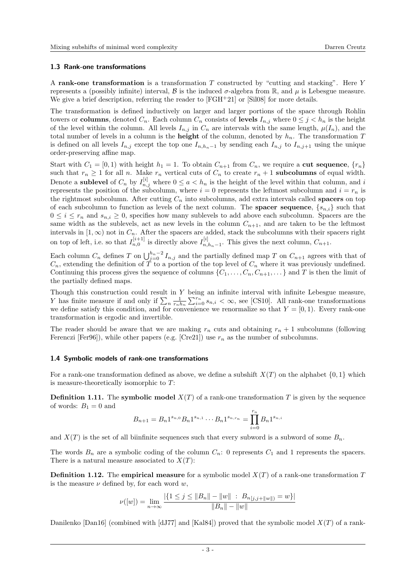### 1.3 Rank-one transformations

A rank-one transformation is a transformation  $T$  constructed by "cutting and stacking". Here  $Y$ represents a (possibly infinite) interval, B is the induced  $\sigma$ -algebra from R, and  $\mu$  is Lebesgue measure. We give a brief description, referring the reader to  $[FGH+21]$  $[FGH+21]$  or  $[Si108]$  for more details.

The transformation is defined inductively on larger and larger portions of the space through Rohlin towers or columns, denoted  $C_n$ . Each column  $C_n$  consists of levels  $I_{n,j}$  where  $0 \leq j \leq h_n$  is the height of the level within the column. All levels  $I_{n,j}$  in  $C_n$  are intervals with the same length,  $\mu(I_n)$ , and the total number of levels in a column is the **height** of the column, denoted by  $h_n$ . The transformation T is defined on all levels  $I_{n,j}$  except the top one  $I_{n,h_n-1}$  by sending each  $I_{n,j}$  to  $I_{n,j+1}$  using the unique order-preserving affine map.

Start with  $C_1 = [0, 1)$  with height  $h_1 = 1$ . To obtain  $C_{n+1}$  from  $C_n$ , we require a cut sequence,  $\{r_n\}$ such that  $r_n \geq 1$  for all n. Make  $r_n$  vertical cuts of  $C_n$  to create  $r_n + 1$  subcolumns of equal width. Denote a **sublevel** of  $C_n$  by  $I_{n,j}^{[i]}$  where  $0 \le a < h_n$  is the height of the level within that column, and i represents the position of the subcolumn, where  $i = 0$  represents the leftmost subcolumn and  $i = r_n$  is the rightmost subcolumn. After cutting  $C_n$  into subcolumns, add extra intervals called **spacers** on top of each subcolumn to function as levels of the next column. The **spacer sequence**,  $\{s_{n,i}\}$  such that  $0 \leq i \leq r_n$  and  $s_{n,i} \geq 0$ , specifies how many sublevels to add above each subcolumn. Spacers are the same width as the sublevels, act as new levels in the column  $C_{n+1}$ , and are taken to be the leftmost intervals in  $[1,\infty)$  not in  $C_n$ . After the spacers are added, stack the subcolumns with their spacers right on top of left, i.e. so that  $I_{n,0}^{[i+1]}$  is directly above  $I_{n,0}^{[i]}$  $\prod_{n,h_n-1}^{[i]}$ . This gives the next column,  $C_{n+1}$ .

Each column  $C_n$  defines T on  $\bigcup_{j=0}^{h_n-2} I_{n,j}$  and the partially defined map T on  $C_{n+1}$  agrees with that of  $C_n$ , extending the definition of T to a portion of the top level of  $C_n$  where it was previously undefined. Continuing this process gives the sequence of columns  $\{C_1, \ldots, C_n, C_{n+1}, \ldots\}$  and T is then the limit of the partially defined maps.

Though this construction could result in Y being an infinite interval with infinite Lebesgue measure, Y has finite measure if and only if  $\sum_{n} \frac{1}{r_n h_n} \sum_{i=0}^{r_n} s_{n,i} < \infty$ , see [\[CS10\]](#page-21-19). All rank-one transformations we define satisfy this condition, and for convenience we renormalize so that  $Y = [0, 1)$ . Every rank-one transformation is ergodic and invertible.

The reader should be aware that we are making  $r_n$  cuts and obtaining  $r_n + 1$  subcolumns (following Ferenczi [\[Fer96\]](#page-21-1)), while other papers (e.g. [\[Cre21\]](#page-21-20)) use  $r_n$  as the number of subcolumns.

#### 1.4 Symbolic models of rank-one transformations

For a rank-one transformation defined as above, we define a subshift  $X(T)$  on the alphabet  $\{0, 1\}$  which is measure-theoretically isomorphic to T:

**Definition 1.11.** The symbolic model  $X(T)$  of a rank-one transformation T is given by the sequence of words:  $B_1 = 0$  and

$$
B_{n+1} = B_n 1^{s_{n,0}} B_n 1^{s_{n,1}} \cdots B_n 1^{s_{n,r_n}} = \prod_{i=0}^{r_n} B_n 1^{s_{n,i}}
$$

and  $X(T)$  is the set of all biinfinite sequences such that every subword is a subword of some  $B_n$ .

The words  $B_n$  are a symbolic coding of the column  $C_n$ : 0 represents  $C_1$  and 1 represents the spacers. There is a natural measure associated to  $X(T)$ :

**Definition 1.12.** The empirical measure for a symbolic model  $X(T)$  of a rank-one transformation T is the measure  $\nu$  defined by, for each word  $w$ ,

$$
\nu([w]) = \lim_{n \to \infty} \frac{|\{1 \le j \le ||B_n|| - ||w|| \; : \; B_{n[j,j+||w||)} = w\}|}{||B_n|| - ||w||}
$$

Danilenko  $\lceil \text{Dan16} \rceil$  (combined with  $\lceil \text{dJ77} \rceil$  and  $\lceil \text{Kal84} \rceil$ ) proved that the symbolic model  $X(T)$  of a rank-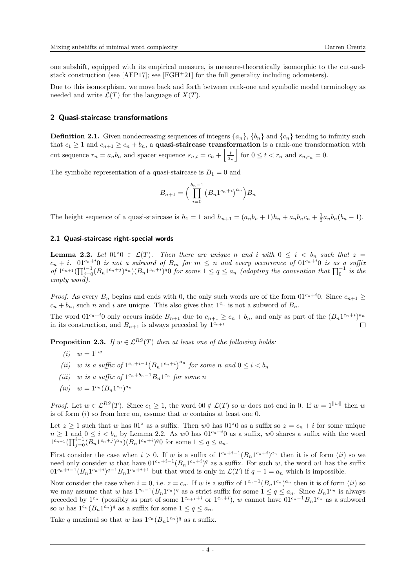one subshift, equipped with its empirical measure, is measure-theoretically isomorphic to the cut-andstack construction (see  $[AFP17]$ ; see  $[FGH<sup>+</sup>21]$  $[FGH<sup>+</sup>21]$  for the full generality including odometers).

Due to this isomorphism, we move back and forth between rank-one and symbolic model terminology as needed and write  $\mathcal{L}(T)$  for the language of  $X(T)$ .

# 2 Quasi-staircase transformations

**Definition 2.1.** Given nondecreasing sequences of integers  $\{a_n\}$ ,  $\{b_n\}$  and  $\{c_n\}$  tending to infinity such that  $c_1 \geq 1$  and  $c_{n+1} \geq c_n + b_n$ , a **quasi-staircase transformation** is a rank-one transformation with cut sequence  $r_n = a_n b_n$  and spacer sequence  $s_{n,t} = c_n + \left| \frac{t}{a_n} \right|$  for  $0 \le t < r_n$  and  $s_{n,r_n} = 0$ .

The symbolic representation of a quasi-staircase is  $B_1 = 0$  and

$$
B_{n+1} = \left(\prod_{i=0}^{b_n-1} (B_n 1^{c_n+i})^{a_n}\right) B_n
$$

The height sequence of a quasi-staircase is  $h_1 = 1$  and  $h_{n+1} = (a_n b_n + 1)h_n + a_n b_n c_n + \frac{1}{2} a_n b_n (b_n - 1)$ .

#### 2.1 Quasi-staircase right-special words

<span id="page-3-1"></span>**Lemma 2.2.** Let  $01^z 0 \in \mathcal{L}(T)$ . Then there are unique n and i with  $0 \leq i \leq b_n$  such that  $z =$  $c_n + i$ .  $01^{c_n+i}0$  is not a subword of  $B_m$  for  $m \leq n$  and every occurrence of  $01^{c_n+i}0$  is as a suffix of  $1^{c_{n+1}}\left(\prod_{j=0}^{i-1}(B_n1^{c_n+j})^{a_n}\right)(B_n1^{c_n+i})^{q}0$  for some  $1 \leq q \leq a_n$  (adopting the convention that  $\prod_{0}^{-1}$  is the empty word).

*Proof.* As every  $B_n$  begins and ends with 0, the only such words are of the form  $01^{c_n+i}0$ . Since  $c_{n+1} \geq$  $c_n + b_n$ , such n and i are unique. This also gives that  $1^{c_n}$  is not a subword of  $B_n$ .

The word  $01^{c_n+i}0$  only occurs inside  $B_{n+1}$  due to  $c_{n+1} \ge c_n + b_n$ , and only as part of the  $(B_n 1^{c_n+i})^{a_n}$ in its construction, and  $B_{n+1}$  is always preceded by  $1^{c_{n+1}}$  $\Box$ 

<span id="page-3-5"></span><span id="page-3-0"></span>**Proposition 2.3.** If  $w \in \mathcal{L}^{RS}(T)$  then at least one of the following holds:

- (*i*)  $w = 1^{\|w\|}$
- <span id="page-3-2"></span>(ii) w is a suffix of  $1^{c_n+i-1} (B_n 1^{c_n+i})^{a_n}$  for some n and  $0 \leq i < b_n$
- <span id="page-3-4"></span>(iii) w is a suffix of  $1^{c_n+b_n-1}B_n1^{c_n}$  for some n
- <span id="page-3-3"></span> $(iv)$   $w = 1^{c_n} (B_n 1^{c_n})^{a_n}$

*Proof.* Let  $w \in \mathcal{L}^{RS}(T)$ . Since  $c_1 \geq 1$ , the word  $0 \notin \mathcal{L}(T)$  so w does not end in 0. If  $w = 1^{\|w\|}$  then w [i](#page-3-0)s of form  $(i)$  so from here on, assume that w contains at least one 0.

Let  $z \ge 1$  such that w has  $01^z$  as a suffix. Then w0 has  $01^z0$  as a suffix so  $z = c_n + i$  for some unique  $n \geq 1$  and  $0 \leq i < b_n$  by Lemma [2.2.](#page-3-1) As w0 has  $01^{c_n+i}0$  as a suffix, w0 shares a suffix with the word  $1^{c_{n+1}} \left( \prod_{j=0}^{i-1} (B_n 1^{c_n+j})^{a_n} \right) \left( B_n 1^{c_n+j} \right)$  for some  $1 \le q \le a_n$ .

First consider the case when  $i > 0$ . If w is a suffix of  $1^{c_n+i-1}(B_n 1^{c_n+i})^{a_n}$  then it is of form  $(ii)$  $(ii)$  $(ii)$  so we need only consider w that have  $01^{c_n+i-1}(B_n1^{c_n+i})^q$  as a suffix. For such w, the word w1 has the suffix  $01^{c_n+i-1}(B_n1^{c_n+i})^{q-1}B_n1^{c_n+i+1}$  but that word is only in  $\mathcal{L}(T)$  if  $q-1=a_n$  which is impossible.

Now consider the case when  $i = 0$ , i.e.  $z = c_n$ . If w is a suffix of  $1^{c_n-1}(B_n 1^{c_n})^{a_n}$  then it is of form  $(ii)$  $(ii)$  $(ii)$  so we may assume that w has  $1^{c_n-1}(B_n 1^{c_n})^q$  as a strict suffix for some  $1 \le q \le a_n$ . Since  $B_n 1^{c_n}$  is always preceded by  $1^{c_n}$  (possibly as part of some  $1^{c_{n+1}+i}$  or  $1^{c_n+i}$ ), w cannot have  $01^{c_n-1}B_n1^{c_n}$  as a subword so w has  $1^{c_n} (B_n 1^{c_n})^q$  as a suffix for some  $1 \le q \le a_n$ .

Take q maximal so that w has  $1^{c_n} (B_n 1^{c_n})^q$  as a suffix.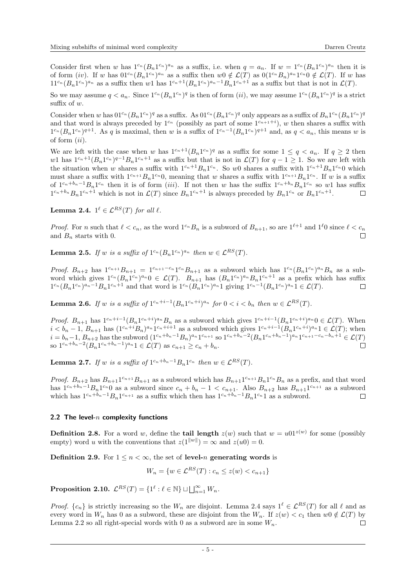Consider first when w has  $1^{c_n} (B_n 1^{c_n})^{a_n}$  as a suffix, i.e. when  $q = a_n$ . If  $w = 1^{c_n} (B_n 1^{c_n})^{a_n}$  then it is of form ([iv](#page-3-3)). If w has  $01^{c_n} (B_n 1^{c_n})^{a_n}$  as a suffix then  $w0 \notin \mathcal{L}(T)$  as  $0(1^{c_n} B_n)^{a_n} 1^{c_n} 0 \notin \mathcal{L}(T)$ . If w has  $11^{c_n} (B_n 1^{c_n})^{a_n}$  as a suffix then w1 has  $1^{c_n+1} (B_n 1^{c_n})^{a_n-1} B_n 1^{c_n+1}$  as a suffix but that is not in  $\mathcal{L}(T)$ .

So we may assume  $q < a_n$ . Since  $1^{c_n}(B_n 1^{c_n})^q$  is then of form  $(ii)$  $(ii)$  $(ii)$ , we may assume  $1^{c_n}(B_n 1^{c_n})^q$  is a strict suffix of w.

Consider when w has  $01^{c_n} (B_n 1^{c_n})^q$  as a suffix. As  $01^{c_n} (B_n 1^{c_n})^q$  only appears as a suffix of  $B_n 1^{c_n} (B_n 1^{c_n})^q$ and that word is always preceded by  $1^{c_n}$  (possibly as part of some  $1^{c_{n+1}+i}$ ), w then shares a suffix with  $1^{c_n}(B_n 1^{c_n})^{q+1}$ . As q is maximal, then w is a suffix of  $1^{c_n-1}(B_n 1^{c_n})^{q+1}$  and, as  $q < a_n$ , this means w is of form  $(ii)$  $(ii)$  $(ii)$ .

We are left with the case when w has  $1^{c_n+1}(B_n 1^{c_n})^q$  as a suffix for some  $1 \le q < a_n$ . If  $q \ge 2$  then w1 has  $1^{c_n+1}(B_n 1^{c_n})^{q-1}B_n 1^{c_n+1}$  as a suffix but that is not in  $\mathcal{L}(T)$  for  $q-1 \geq 1$ . So we are left with the situation when w shares a suffix with  $1^{c_n+1}B_n1^{c_n}$ . So w0 shares a suffix with  $1^{c_n+1}B_n1^{c_n}0$  which must share a suffix with  $1^{c_{n+1}}B_n1^{c_n}0$ , meaning that w shares a suffix with  $1^{c_{n+1}}B_n1^{c_n}$ . If w is a suffix of  $1^{c_n+b_n-1}B_n1^{c_n}$  then it is of form ([iii](#page-3-4)). If not then w has the suffix  $1^{c_n+b_n}B_n1^{c_n}$  so w1 has suffix  $1^{c_n+b_n}B_n1^{c_n+1}$  which is not in  $\mathcal{L}(T)$  since  $B_n1^{c_n+1}$  is always preceded by  $B_n1^{c_n}$  or  $B_n1^{c_n+1}$ .  $\Box$ 

<span id="page-4-0"></span>**Lemma 2.4.**  $1^{\ell} \in \mathcal{L}^{RS}(T)$  for all  $\ell$ .

*Proof.* For n such that  $\ell < c_n$ , as the word  $1^{c_n}B_n$  is a subword of  $B_{n+1}$ , so are  $1^{\ell+1}$  and  $1^{\ell}0$  since  $\ell < c_n$ and  $B_n$  starts with 0.  $\Box$ 

<span id="page-4-2"></span>**Lemma 2.5.** If w is a suffix of  $1^{c_n}(B_n 1^{c_n})^{a_n}$  then  $w \in \mathcal{L}^{RS}(T)$ .

*Proof.*  $B_{n+2}$  has  $1^{c_{n+1}}B_{n+1} = 1^{c_{n+1}-c_n}1^{c_n}B_{n+1}$  as a subword which has  $1^{c_n}(B_n 1^{c_n})^{a_n}B_n$  as a subword which gives  $1^{c_n}(B_n 1^{c_n})^{a_n} 0 \in \mathcal{L}(T)$ .  $B_{n+1}$  has  $(B_n 1^{c_n})^{a_n} B_n 1^{c_n+1}$  as a prefix which has suffix  $1^{c_n} (B_n 1^{c_n})^{a_n-1} B_n 1^{c_n+1}$  and that word is  $1^{c_n} (B_n 1^{c_n})^{a_n} 1$  giving  $1^{c_n-1} (B_n 1^{c_n})^{a_n} 1 \in \mathcal{L}(T)$ .

<span id="page-4-3"></span>**Lemma 2.6.** If w is a suffix of  $1^{c_n+i-1}(B_n 1^{c_n+i})^{a_n}$  for  $0 < i < b_n$  then  $w \in \mathcal{L}^{RS}(T)$ .

*Proof.*  $B_{n+1}$  has  $1^{c_n+i-1}(B_n 1^{c_n+i})^{a_n} B_n$  as a subword which gives  $1^{c_n+i-1}(B_n 1^{c_n+i})^{a_n} 0 \in \mathcal{L}(T)$ . When  $i < b_n - 1$ ,  $B_{n+1}$  has  $(1^{c_n+i}B_n)^{a_n}1^{c_n+i+1}$  as a subword which gives  $1^{c_n+i-1}(B_n1^{c_n+i})^{a_n}1 \in \mathcal{L}(T)$ ; when  $i = b_n - 1$ ,  $B_{n+2}$  has the subword  $(1^{c_n + b_n - 1}B_n)^{a_n}1^{c_{n+1}}$  so  $1^{c_n + b_n - 2}(B_n 1^{c_n + b_n - 1})^{a_n}1^{c_{n+1} - c_n - b_n + 1} \in \mathcal{L}(T)$ so  $1^{c_n+b_n-2}(B_n 1^{c_n+b_n-1})^{a_n} 1 \in \mathcal{L}(T)$  as  $c_{n+1} \geq c_n + b_n$ .  $\Box$ 

<span id="page-4-4"></span>**Lemma 2.7.** If w is a suffix of  $1^{c_n+b_n-1}B_n1^{c_n}$  then  $w \in \mathcal{L}^{RS}(T)$ .

*Proof.*  $B_{n+2}$  has  $B_{n+1}1^{c_{n+1}}B_{n+1}$  as a subword which has  $B_{n+1}1^{c_{n+1}}B_n1^{c_n}B_n$  as a prefix, and that word has  $1^{c_n+b_n-1}B_n1^{c_n}0$  as a subword since  $c_n+b_n-1 < c_{n+1}$ . Also  $B_{n+2}$  has  $B_{n+1}1^{c_{n+1}}$  as a subword which has  $1^{c_n+b_n-1}B_n1^{c_{n+1}}$  as a suffix which then has  $1^{c_n+b_n-1}B_n1^{c_n}1$  as a subword.

# 2.2 The level- $n$  complexity functions

**Definition 2.8.** For a word w, define the **tail length**  $z(w)$  such that  $w = u01^{z(w)}$  for some (possibly empty) word u with the conventions that  $z(1^{\|w\|}) = \infty$  and  $z(u0) = 0$ .

**Definition 2.9.** For  $1 \le n < \infty$ , the set of level-*n* generating words is

$$
W_n = \{ w \in \mathcal{L}^{RS}(T) : c_n \le z(w) < c_{n+1} \}
$$

<span id="page-4-1"></span>**Proposition 2.10.**  $\mathcal{L}^{RS}(T) = \{1^{\ell} : \ell \in \mathbb{N}\} \sqcup \bigsqcup_{n=1}^{\infty} W_n$ .

*Proof.*  $\{c_n\}$  is strictly increasing so the  $W_n$  are disjoint. Lemma [2.4](#page-4-0) says  $1^\ell \in \mathcal{L}^{RS}(T)$  for all  $\ell$  and as every word in  $W_n$  has 0 as a subword, these are disjoint from the  $W_n$ . If  $z(w) < c_1$  then  $w0 \notin \mathcal{L}(T)$  by Lemma [2.2](#page-3-1) so all right-special words with 0 as a subword are in some  $W_n$ .  $\Box$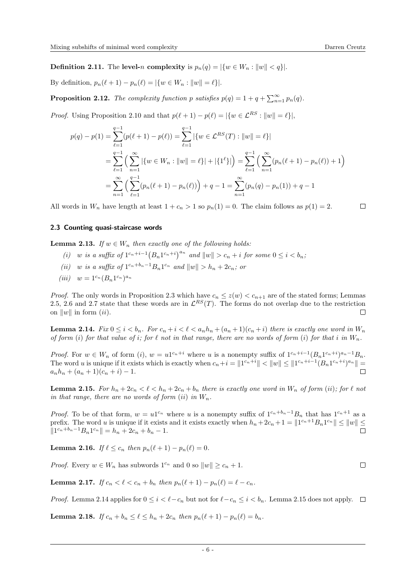**Definition 2.11.** The level-n complexity is  $p_n(q) = |\{w \in W_n : ||w|| < q\}|$ .

By definition,  $p_n(\ell + 1) - p_n(\ell) = |\{w \in W_n : ||w|| = \ell\}|.$ 

<span id="page-5-9"></span>**Proposition 2.12.** The complexity function p satisfies  $p(q) = 1 + q + \sum_{n=1}^{\infty} p_n(q)$ .

*Proof.* Using Proposition [2.10](#page-4-1) and that  $p(\ell + 1) - p(\ell) = |\{w \in \mathcal{L}^{RS} : ||w|| = \ell\}|$ ,

$$
p(q) - p(1) = \sum_{\ell=1}^{q-1} (p(\ell+1) - p(\ell)) = \sum_{\ell=1}^{q-1} |\{w \in \mathcal{L}^{RS}(T) : ||w|| = \ell\}|
$$
  
= 
$$
\sum_{\ell=1}^{q-1} \left( \sum_{n=1}^{\infty} |\{w \in W_n : ||w|| = \ell\}| + |\{1^{\ell}\}| \right) = \sum_{\ell=1}^{q-1} \left( \sum_{n=1}^{\infty} (p_n(\ell+1) - p_n(\ell)) + 1 \right)
$$
  
= 
$$
\sum_{n=1}^{\infty} \left( \sum_{\ell=1}^{q-1} (p_n(\ell+1) - p_n(\ell)) \right) + q - 1 = \sum_{n=1}^{\infty} (p_n(q) - p_n(1)) + q - 1
$$

All words in  $W_n$  have length at least  $1 + c_n > 1$  so  $p_n(1) = 0$ . The claim follows as  $p(1) = 2$ .

 $\Box$ 

# 2.3 Counting quasi-staircase words

<span id="page-5-4"></span><span id="page-5-1"></span>**Lemma 2.13.** If  $w \in W_n$  then exactly one of the following holds:

- (i) w is a suffix of  $1^{c_n+i-1} (B_n 1^{c_n+i})^{a_n}$  and  $||w|| > c_n + i$  for some  $0 \leq i < b_n$ ;
- <span id="page-5-0"></span>(ii) w is a suffix of  $1^{c_n+b_n-1}B_n1^{c_n}$  and  $||w|| > h_n + 2c_n$ ; or
- <span id="page-5-5"></span>(*iii*)  $w = 1^{c_n} (B_n 1^{c_n})^{a_n}$

*Proof.* The only words in Proposition [2.3](#page-3-5) which have  $c_n \leq z(w) < c_{n+1}$  are of the stated forms; Lemmas [2.5,](#page-4-2) [2.6](#page-4-3) and [2.7](#page-4-4) state that these words are in  $\mathcal{L}^{RS}(T)$ . The forms do not overlap due to the restriction on  $\|w\|$  in form *([ii](#page-5-0))*.  $\Box$ 

<span id="page-5-2"></span>**Lemma 2.14.** Fix  $0 \leq i < b_n$ . For  $c_n + i < \ell < a_n h_n + (a_n + 1)(c_n + i)$  there is exactly one word in  $W_n$ of form ([i](#page-5-1)) for that value of i; for  $\ell$  not in that range, there are no words of form (i) for that i in  $W_n$ .

*Proof.* For  $w \in W_n$  $w \in W_n$  $w \in W_n$  of form  $(i)$ ,  $w = u^{1c_n+i}$  where u is a nonempty suffix of  $1^{c_n+i-1}(B_n 1^{c_n+i})^{a_n-1}B_n$ . The word u is unique if it exists which is exactly when  $c_n+i = ||1^{c_n+i}|| < ||w|| \le ||1^{c_n+i-1}(B_n 1^{c_n+i})^{a_n}|| =$  $a_n h_n + (a_n + 1)(c_n + i) - 1.$ 

<span id="page-5-3"></span>**Lemma 2.15.** For  $h_n + 2c_n < \ell < h_n + 2c_n + b_n$  there is exactly one word in  $W_n$  of form ([ii](#page-5-0)); for  $\ell$  not in that range, there are no words of form  $(ii)$  $(ii)$  $(ii)$  in  $W_n$ .

*Proof.* To be of that form,  $w = u^{c_n}$  where u is a nonempty suffix of  $1^{c_n+b_n-1}B_n$  that has  $1^{c_n+1}$  as a prefix. The word u is unique if it exists and it exists exactly when  $h_n + 2c_n + 1 = ||1^{c_n+1}B_n1^{c_n}|| \le ||w|| \le$  $||1^{c_n+b_n-1}B_n1^{c_n}|| = h_n + 2c_n + b_n - 1.$  $\Box$ 

<span id="page-5-6"></span>**Lemma 2.16.** If  $\ell \leq c_n$  then  $p_n(\ell + 1) - p_n(\ell) = 0$ .

*Proof.* Every  $w \in W_n$  has subwords  $1^{c_n}$  and 0 so  $||w|| \geq c_n + 1$ .

<span id="page-5-7"></span>Lemma 2.17. If  $c_n < \ell < c_n + b_n$  then  $p_n(\ell + 1) - p_n(\ell) = \ell - c_n$ .

*Proof.* Lemma [2.14](#page-5-2) applies for  $0 \le i < \ell - c_n$  but not for  $\ell - c_n \le i < b_n$ . Lemma [2.15](#page-5-3) does not apply.  $\Box$ 

<span id="page-5-8"></span>**Lemma 2.18.** If  $c_n + b_n \leq \ell \leq h_n + 2c_n$  then  $p_n(\ell + 1) - p_n(\ell) = b_n$ .

 $\Box$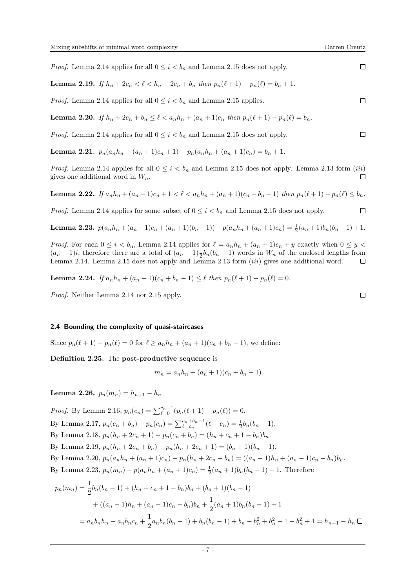*Proof.* Lemma [2.14](#page-5-2) applies for all  $0 \le i \le b_n$  and Lemma [2.15](#page-5-3) does not apply.

<span id="page-6-0"></span>Lemma 2.19. If  $h_n + 2c_n < \ell < h_n + 2c_n + b_n$  then  $p_n(\ell + 1) - p_n(\ell) = b_n + 1$ .

*Proof.* Lemma [2.14](#page-5-2) applies for all  $0 \leq i \leq b_n$  and Lemma [2.15](#page-5-3) applies.

<span id="page-6-1"></span>Lemma 2.20. If  $h_n + 2c_n + b_n \leq \ell < a_n h_n + (a_n + 1)c_n$  then  $p_n(\ell + 1) - p_n(\ell) = b_n$ .

*Proof.* Lemma [2.14](#page-5-2) applies for all  $0 \le i \le b_n$  and Lemma [2.15](#page-5-3) does not apply.

<span id="page-6-4"></span>Lemma 2.21.  $p_n(a_n h_n + (a_n + 1)c_n + 1) - p_n(a_n h_n + (a_n + 1)c_n) = b_n + 1$ .

*Proof.* Lemma [2.14](#page-5-2) applies for all  $0 \le i \le b_n$  and Lemma [2.15](#page-5-3) does not apply. Lemma [2.13](#page-5-4) form *([iii](#page-5-5))* gives one additional word in  $W_n$ .  $\Box$ 

<span id="page-6-3"></span>Lemma 2.22. If  $a_n h_n + (a_n + 1)c_n + 1 < \ell < a_n h_n + (a_n + 1)(c_n + b_n - 1)$  then  $p_n(\ell + 1) - p_n(\ell) \le b_n$ .

*Proof.* Lemma [2.14](#page-5-2) applies for some subset of  $0 \leq i \leq b_n$  and Lemma [2.15](#page-5-3) does not apply.

<span id="page-6-2"></span>**Lemma 2.23.** 
$$
p(a_n h_n + (a_n + 1)c_n + (a_n + 1)(b_n - 1)) - p(a_n h_n + (a_n + 1)c_n) = \frac{1}{2}(a_n + 1)b_n(b_n - 1) + 1.
$$

*Proof.* For each  $0 \leq i \leq b_n$ , Lemma [2.14](#page-5-2) applies for  $\ell = a_n h_n + (a_n + 1)c_n + y$  exactly when  $0 \leq y \leq a_n$  $(a_n + 1)i$ , therefore there are a total of  $(a_n + 1)\frac{1}{2}b_n(b_n - 1)$  words in  $W_n$  of the enclosed lengths from Lemma [2.14.](#page-5-2) Lemma [2.15](#page-5-3) does not apply and Lemma [2.13](#page-5-4) form ([iii](#page-5-5)) gives one additional word.  $\Box$ 

<span id="page-6-5"></span>**Lemma 2.24.** If  $a_n h_n + (a_n + 1)(c_n + b_n - 1) \leq \ell$  then  $p_n(\ell + 1) - p_n(\ell) = 0$ .

Proof. Neither Lemma [2.14](#page-5-2) nor [2.15](#page-5-3) apply.

# 2.4 Bounding the complexity of quasi-staircases

Since  $p_n(\ell + 1) - p_n(\ell) = 0$  for  $\ell > a_n h_n + (a_n + 1)(c_n + b_n - 1)$ , we define:

Definition 2.25. The post-productive sequence is

$$
m_n = a_n h_n + (a_n + 1)(c_n + b_n - 1)
$$

<span id="page-6-6"></span>Lemma 2.26.  $p_n(m_n) = h_{n+1} - h_n$ 

*Proof.* By Lemma [2.16,](#page-5-6)  $p_n(c_n) = \sum_{\ell=0}^{c_n-1} (p_n(\ell+1) - p_n(\ell)) = 0.$ By Lemma [2.17,](#page-5-7)  $p_n(c_n + b_n) - p_n(c_n) = \sum_{\ell=c_n}^{c_n + b_n - 1} (\ell - c_n) = \frac{1}{2} b_n(b_n - 1)$ . By Lemma [2.18,](#page-5-8)  $p_n(h_n + 2c_n + 1) - p_n(c_n + b_n) = (h_n + c_n + 1 - b_n)b_n$ . By Lemma [2.19,](#page-6-0)  $p_n(h_n + 2c_n + b_n) - p_n(h_n + 2c_n + 1) = (b_n + 1)(b_n - 1).$ By Lemma [2.20,](#page-6-1)  $p_n(a_n h_n + (a_n + 1)c_n) - p_n(h_n + 2c_n + b_n) = ((a_n - 1)h_n + (a_n - 1)c_n - b_n)b_n$ . By Lemma [2.23,](#page-6-2)  $p_n(m_n) - p(a_n h_n + (a_n + 1)c_n) = \frac{1}{2}(a_n + 1)b_n(b_n - 1) + 1$ . Therefore

$$
p_n(m_n) = \frac{1}{2}b_n(b_n - 1) + (h_n + c_n + 1 - b_n)b_n + (b_n + 1)(b_n - 1)
$$
  
+ 
$$
((a_n - 1)h_n + (a_n - 1)c_n - b_n)b_n + \frac{1}{2}(a_n + 1)b_n(b_n - 1) + 1
$$
  
= 
$$
a_nb_nh_n + a_nb_nc_n + \frac{1}{2}a_nb_n(b_n - 1) + b_n(b_n - 1) + b_n - b_n^2 + b_n^2 - 1 - b_n^2 + 1 = h_{n+1} - h_n \square
$$

 $\Box$ 

 $\Box$ 

 $\Box$ 

 $\Box$ 

 $\Box$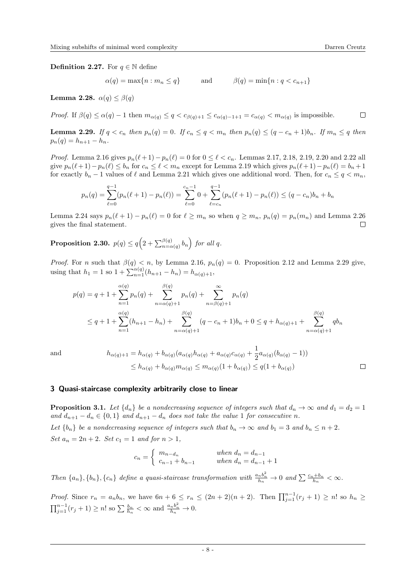**Definition 2.27.** For  $q \in \mathbb{N}$  define

 $\alpha(q) = \max\{n : m_n \leq q\}$  and  $\beta(q) = \min\{n : q < c_{n+1}\}\$ 

Lemma 2.28.  $\alpha(q) \leq \beta(q)$ 

*Proof.* If  $\beta(q) \leq \alpha(q) - 1$  then  $m_{\alpha(q)} \leq q < c_{\beta(q)+1} \leq c_{\alpha(q)-1+1} = c_{\alpha(q)} < m_{\alpha(q)}$  is impossible.

<span id="page-7-0"></span>**Lemma 2.29.** If  $q < c_n$  then  $p_n(q) = 0$ . If  $c_n \leq q < m_n$  then  $p_n(q) \leq (q - c_n + 1)b_n$ . If  $m_n \leq q$  then  $p_n(q) = h_{n+1} - h_n.$ 

*Proof.* Lemma [2.16](#page-5-6) gives  $p_n(\ell + 1) - p_n(\ell) = 0$  for  $0 \leq \ell < c_n$ . Lemmas [2.17,](#page-5-7) [2.18,](#page-5-8) [2.19,](#page-6-0) [2.20](#page-6-1) and [2.22](#page-6-3) all give  $p_n(\ell + 1) - p_n(\ell) \le b_n$  for  $c_n \le \ell < m_n$  except for Lemma [2.19](#page-6-0) which gives  $p_n(\ell + 1) - p_n(\ell) = b_n + 1$ for exactly  $b_n - 1$  values of  $\ell$  and Lemma [2.21](#page-6-4) which gives one additional word. Then, for  $c_n \le q < m_n$ ,

$$
p_n(q) = \sum_{\ell=0}^{q-1} (p_n(\ell+1) - p_n(\ell)) = \sum_{\ell=0}^{c_n-1} 0 + \sum_{\ell=c_n}^{q-1} (p_n(\ell+1) - p_n(\ell)) \le (q - c_n)b_n + b_n
$$

Lemma [2.24](#page-6-5) says  $p_n(\ell + 1) - p_n(\ell) = 0$  for  $\ell \geq m_n$  so when  $q \geq m_n$ ,  $p_n(q) = p_n(m_n)$  and Lemma [2.26](#page-6-6) gives the final statement.  $\Box$ 

<span id="page-7-2"></span>**Proposition 2.30.**  $p(q) \le q\left(2 + \sum_{n=\alpha(q)}^{\beta(q)} b_n\right)$  for all q.

*Proof.* For n such that  $\beta(q) < n$ , by Lemma [2.16,](#page-5-6)  $p_n(q) = 0$ . Proposition [2.12](#page-5-9) and Lemma [2.29](#page-7-0) give, using that  $h_1 = 1$  so  $1 + \sum_{n=1}^{\alpha(q)} (h_{n+1} - h_n) = h_{\alpha(q)+1}$ ,

$$
p(q) = q + 1 + \sum_{n=1}^{\alpha(q)} p_n(q) + \sum_{n=\alpha(q)+1}^{\beta(q)} p_n(q) + \sum_{n=\beta(q)+1}^{\infty} p_n(q)
$$
  

$$
\leq q + 1 + \sum_{n=1}^{\alpha(q)} (h_{n+1} - h_n) + \sum_{n=\alpha(q)+1}^{\beta(q)} (q - c_n + 1)b_n + 0 \leq q + h_{\alpha(q)+1} + \sum_{n=\alpha(q)+1}^{\beta(q)} qb_n
$$

and 
$$
h_{\alpha(q)+1} = h_{\alpha(q)} + b_{\alpha(q)}(a_{\alpha(q)}h_{\alpha(q)} + a_{\alpha(q)}c_{\alpha(q)} + \frac{1}{2}a_{\alpha(q)}(b_{\alpha(q)} - 1))
$$
  

$$
\leq h_{\alpha(q)} + b_{\alpha(q)}m_{\alpha(q)} \leq m_{\alpha(q)}(1 + b_{\alpha(q)}) \leq q(1 + b_{\alpha(q)})
$$

#### 3 Quasi-staircase complexity arbitrarily close to linear

<span id="page-7-1"></span>**Proposition 3.1.** Let  $\{d_n\}$  be a nondecreasing sequence of integers such that  $d_n \to \infty$  and  $d_1 = d_2 = 1$ and  $d_{n+1} - d_n \in \{0,1\}$  and  $d_{n+1} - d_n$  does not take the value 1 for consecutive n. Let  $\{b_n\}$  be a nondecreasing sequence of integers such that  $b_n \to \infty$  and  $b_1 = 3$  and  $b_n \leq n + 2$ . Set  $a_n = 2n + 2$ . Set  $c_1 = 1$  and for  $n > 1$ ,

$$
c_n = \begin{cases} m_{n-d_n} & \text{when } d_n = d_{n-1} \\ c_{n-1} + b_{n-1} & \text{when } d_n = d_{n-1} + 1 \end{cases}
$$

Then  $\{a_n\}, \{b_n\}, \{c_n\}$  define a quasi-staircase transformation with  $\frac{a_n b_n^2}{h_n} \to 0$  and  $\sum \frac{c_n + b_n}{h_n} < \infty$ .

*Proof.* Since  $r_n = a_n b_n$ , we have  $6n + 6 \le r_n \le (2n + 2)(n + 2)$ . Then  $\prod_{j=1}^{n-1} (r_j + 1) \ge n!$  so  $h_n \ge$  $\prod_{j=1}^{n-1}(r_j+1) \geq n!$  so  $\sum \frac{b_n}{h_n} < \infty$  and  $\frac{a_n b_n^2}{h_n} \to 0$ .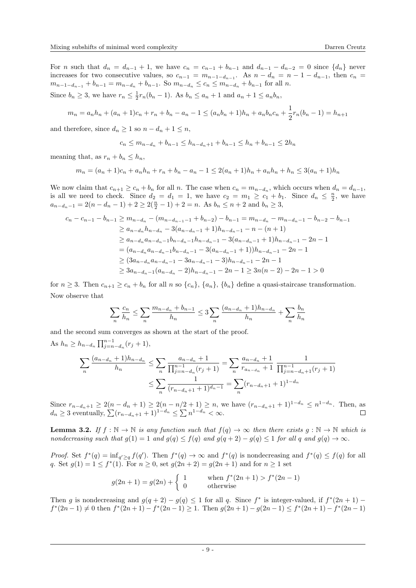For n such that  $d_n = d_{n-1} + 1$ , we have  $c_n = c_{n-1} + b_{n-1}$  and  $d_{n-1} - d_{n-2} = 0$  since  $\{d_n\}$  never increases for two consecutive values, so  $c_{n-1} = m_{n-1-d_{n-1}}$ . As  $n - d_n = n - 1 - d_{n-1}$ , then  $c_n =$  $m_{n-1-d_{n-1}} + b_{n-1} = m_{n-d_n} + b_{n-1}$ . So  $m_{n-d_n} \leq c_n \leq m_{n-d_n} + b_{n-1}$  for all n.

Since  $b_n \geq 3$ , we have  $r_n \leq \frac{1}{2}r_n(b_n - 1)$ . As  $b_n \leq a_n + 1$  and  $a_n + 1 \leq a_n b_n$ ,

$$
m_n = a_n h_n + (a_n + 1)c_n + r_n + b_n - a_n - 1 \leq (a_n b_n + 1)h_n + a_n b_n c_n + \frac{1}{2}r_n(b_n - 1) = h_{n+1}
$$

and therefore, since  $d_n \geq 1$  so  $n - d_n + 1 \leq n$ ,

$$
c_n \le m_{n-d_n} + b_{n-1} \le h_{n-d_n+1} + b_{n-1} \le h_n + b_{n-1} \le 2h_n
$$

meaning that, as  $r_n + b_n \leq h_n$ ,

$$
m_n = (a_n + 1)c_n + a_n h_n + r_n + b_n - a_n - 1 \le 2(a_n + 1)h_n + a_n h_n + h_n \le 3(a_n + 1)h_n
$$

We now claim that  $c_{n+1} \geq c_n + b_n$  for all n. The case when  $c_n = m_{n-d_n}$ , which occurs when  $d_n = d_{n-1}$ , is all we need to check. Since  $d_2 = d_1 = 1$ , we have  $c_2 = m_1 \ge c_1 + b_1$ . Since  $d_n \le \frac{n}{2}$ , we have  $a_{n-d_n-1} = 2(n-d_n-1) + 2 \geq 2(\frac{n}{2}-1) + 2 = n$ . As  $b_n \leq n+2$  and  $b_n \geq 3$ ,

$$
c_n - c_{n-1} - b_{n-1} \ge m_{n-d_n} - (m_{n-d_{n-1}-1} + b_{n-2}) - b_{n-1} = m_{n-d_n} - m_{n-d_n-1} - b_{n-2} - b_{n-1}
$$
  
\n
$$
\ge a_{n-d_n} h_{n-d_n} - 3(a_{n-d_n-1} + 1)h_{n-d_n-1} - n - (n+1)
$$
  
\n
$$
\ge a_{n-d_n} a_{n-d_n-1} b_{n-d_n-1} h_{n-d_n-1} - 3(a_{n-d_n-1} + 1)h_{n-d_n-1} - 2n - 1
$$
  
\n
$$
= (a_{n-d_n} a_{n-d_n-1} b_{n-d_n-1} - 3(a_{n-d_n-1} + 1))h_{n-d_n-1} - 2n - 1
$$
  
\n
$$
\ge (3a_{n-d_n} a_{n-d_n-1} - 3a_{n-d_n-1} - 3)h_{n-d_n-1} - 2n - 1
$$
  
\n
$$
\ge 3a_{n-d_n-1} (a_{n-d_n} - 2)h_{n-d_n-1} - 2n - 1 \ge 3n(n-2) - 2n - 1 > 0
$$

for  $n \geq 3$ . Then  $c_{n+1} \geq c_n + b_n$  for all n so  $\{c_n\}$ ,  $\{a_n\}$ ,  $\{b_n\}$  define a quasi-staircase transformation. Now observe that

$$
\sum_{n} \frac{c_n}{h_n} \le \sum_{n} \frac{m_{n-d_n} + b_{n-1}}{h_n} \le 3 \sum_{n} \frac{(a_{n-d_n} + 1)h_{n-d_n}}{h_n} + \sum_{n} \frac{b_n}{h_n}
$$

and the second sum converges as shown at the start of the proof.

As  $h_n \geq h_{n-d_n} \prod_{j=n-d_n}^{n-1} (r_j+1),$ 

$$
\sum_{n} \frac{(a_{n-d_n}+1)h_{n-d_n}}{h_n} \le \sum_{n} \frac{a_{n-d_n}+1}{\prod_{j=n-d_n}^{n-1} (r_j+1)} = \sum_{n} \frac{a_{n-d_n}+1}{r_{a_{n-d_n}}+1} \frac{1}{\prod_{j=n-d_n+1}^{n-1} (r_j+1)}
$$

$$
\le \sum_{n} \frac{1}{(r_{n-d_n+1}+1)^{d_n-1}} = \sum_{n} (r_{n-d_n+1}+1)^{1-d_n}
$$

Since  $r_{n-d_n+1} \geq 2(n-d_n+1) \geq 2(n-n/2+1) \geq n$ , we have  $(r_{n-d_n+1}+1)^{1-d_n} \leq n^{1-d_n}$ . Then, as  $d_n \geq 3$  eventually,  $\sum (r_{n-d_n+1}+1)^{1-d_n} \leq \sum n^{1-d_n} < \infty$ .

<span id="page-8-0"></span>**Lemma 3.2.** If  $f : \mathbb{N} \to \mathbb{N}$  is any function such that  $f(q) \to \infty$  then there exists  $g : \mathbb{N} \to \mathbb{N}$  which is nondecreasing such that  $g(1) = 1$  and  $g(q) \le f(q)$  and  $g(q+2) - g(q) \le 1$  for all q and  $g(q) \to \infty$ .

*Proof.* Set  $f^*(q) = \inf_{q' \ge q} f(q')$ . Then  $f^*(q) \to \infty$  and  $f^*(q)$  is nondecreasing and  $f^*(q) \le f(q)$  for all q. Set  $g(1) = 1 \le f^*(1)$ . For  $n \ge 0$ , set  $g(2n + 2) = g(2n + 1)$  and for  $n \ge 1$  set

$$
g(2n+1) = g(2n) + \begin{cases} 1 & \text{when } f^*(2n+1) > f^*(2n-1) \\ 0 & \text{otherwise} \end{cases}
$$

Then g is nondecreasing and  $g(q + 2) - g(q) \le 1$  for all q. Since  $f^*$  is integer-valued, if  $f^*(2n + 1)$  $f^*(2n-1) \neq 0$  then  $f^*(2n+1) - f^*(2n-1) \geq 1$ . Then  $g(2n+1) - g(2n-1) \leq f^*(2n+1) - f^*(2n-1)$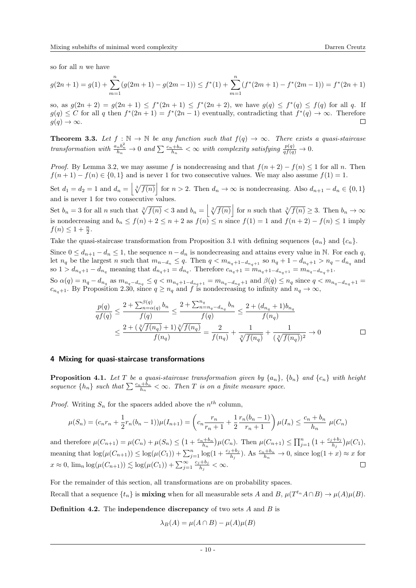so for all  $n$  we have

$$
g(2n+1) = g(1) + \sum_{m=1}^{n} (g(2m+1) - g(2m-1)) \le f^*(1) + \sum_{m=1}^{n} (f^*(2m+1) - f^*(2m-1)) = f^*(2n+1)
$$

so, as  $g(2n+2) = g(2n+1) \le f^*(2n+1) \le f^*(2n+2)$ , we have  $g(q) \le f^*(q) \le f(q)$  for all q. If  $g(q) \leq C$  for all q then  $f^*(2n+1) = f^*(2n-1)$  eventually, contradicting that  $f^*(q) \to \infty$ . Therefore  $g(q) \to \infty$ .  $\Box$ 

**Theorem 3.3.** Let  $f : \mathbb{N} \to \mathbb{N}$  be any function such that  $f(q) \to \infty$ . There exists a quasi-staircase transformation with  $\frac{a_n b_n^2}{h_n} \to 0$  and  $\sum \frac{c_n + b_n}{h_n} < \infty$  with complexity satisfying  $\frac{p(q)}{q f(q)} \to 0$ .

*Proof.* By Lemma [3.2,](#page-8-0) we may assume f is nondecreasing and that  $f(n+2) - f(n) \leq 1$  for all n. Then  $f(n + 1) - f(n) \in \{0, 1\}$  and is never 1 for two consecutive values. We may also assume  $f(1) = 1$ .

Set  $d_1 = d_2 = 1$  and  $d_n = \left\lfloor \sqrt[3]{f(n)} \right\rfloor$  for  $n > 2$ . Then  $d_n \to \infty$  is nondecreasing. Also  $d_{n+1} - d_n \in \{0, 1\}$ and is never 1 for two consecutive values.

Set  $b_n = 3$  for all n such that  $\sqrt[3]{f(n)} < 3$  and  $b_n = \left| \sqrt[3]{f(n)} \right|$  for n such that  $\sqrt[3]{f(n)} \geq 3$ . Then  $b_n \to \infty$ is nondecreasing and  $b_n \le f(n) + 2 \le n + 2$  as  $f(n) \le n$  since  $f(1) = 1$  and  $f(n+2) - f(n) \le 1$  imply  $f(n) \leq 1 + \frac{n}{2}.$ 

Take the quasi-staircase transformation from Proposition [3.1](#page-7-1) with defining sequences  $\{a_n\}$  and  $\{c_n\}$ .

Since  $0 \leq d_{n+1} - d_n \leq 1$ , the sequence  $n - d_n$  is nondecreasing and attains every value in N. For each q, let  $n_q$  be the largest n such that  $m_{n-d_n} \leq q$ . Then  $q < m_{n_q+1-d_{n_q+1}}$  so  $n_q+1-d_{n_q+1} > n_q - d_{n_q}$  and so  $1 > d_{n_q+1} - d_{n_q}$  meaning that  $d_{n_q+1} = d_{n_q}$ . Therefore  $c_{n_q+1} = m_{n_q+1-d_{n_q+1}} = m_{n_q-d_{n_q}+1}$ .

So  $\alpha(q) = n_q - d_{n_q}$  as  $m_{n_q-d_{n_q}} \le q < m_{n_q+1-d_{n_q+1}} = m_{n_q-d_{n_q}+1}$  and  $\beta(q) \le n_q$  since  $q < m_{n_q-d_{n_q}+1} =$  $c_{n_q+1}$ . By Proposition [2.30,](#page-7-2) since  $q \geq n_q$  and f is nondecreasing to infinity and  $n_q \to \infty$ ,

$$
\frac{p(q)}{qf(q)} \le \frac{2 + \sum_{n=\alpha(q)}^{\beta(q)} b_n}{f(q)} \le \frac{2 + \sum_{n=n_q-d_{n_q}}^{n_q} b_n}{f(q)} \le \frac{2 + (d_{n_q} + 1)b_{n_q}}{f(n_q)} \n\le \frac{2 + (\sqrt[3]{f(n_q)} + 1)\sqrt[3]{f(n_q)}}{f(n_q)} = \frac{2}{f(n_q)} + \frac{1}{\sqrt[3]{f(n_q)}} + \frac{1}{(\sqrt[3]{f(n_q)})^2} \to 0
$$

## 4 Mixing for quasi-staircase transformations

**Proposition 4.1.** Let T be a quasi-staircase transformation given by  $\{a_n\}$ ,  $\{b_n\}$  and  $\{c_n\}$  with height sequence  $\{h_n\}$  such that  $\sum_{n=1}^{\infty} \frac{c_n+b_n}{h_n} < \infty$ . Then T is on a finite measure space.

*Proof.* Writing  $S_n$  for the spacers added above the  $n^{th}$  column,

$$
\mu(S_n) = (c_n r_n + \frac{1}{2} r_n (b_n - 1)) \mu(I_{n+1}) = \left( c_n \frac{r_n}{r_n + 1} + \frac{1}{2} \frac{r_n (b_n - 1)}{r_n + 1} \right) \mu(I_n) \le \frac{c_n + b_n}{h_n} \mu(C_n)
$$

and therefore  $\mu(C_{n+1}) = \mu(C_n) + \mu(S_n) \leq (1 + \frac{c_n + b_n}{h_n})\mu(C_n)$ . Then  $\mu(C_{n+1}) \leq \prod_{j=1}^{n} (1 + \frac{c_j + b_j}{h_j})\mu(C_1)$ , meaning that  $\log(\mu(C_{n+1})) \le \log(\mu(C_1)) + \sum_{j=1}^n \log(1 + \frac{c_j + b_j}{h_j})$ . As  $\frac{c_n + b_n}{h_n} \to 0$ , since  $\log(1 + x) \approx x$  for  $x \approx 0$ ,  $\lim_{n} \log(\mu(C_{n+1})) \lesssim \log(\mu(C_1)) + \sum_{j=1}^{\infty} \frac{c_j + b_j}{h_j}$  $\Box$  $\frac{a+b_j}{h_j}<\infty.$ 

For the remainder of this section, all transformations are on probability spaces.

Recall that a sequence  $\{t_n\}$  is **mixing** when for all measurable sets A and B,  $\mu(T^{t_n}A \cap B) \to \mu(A)\mu(B)$ .

**Definition 4.2.** The independence discrepancy of two sets  $A$  and  $B$  is

$$
\lambda_B(A) = \mu(A \cap B) - \mu(A)\mu(B)
$$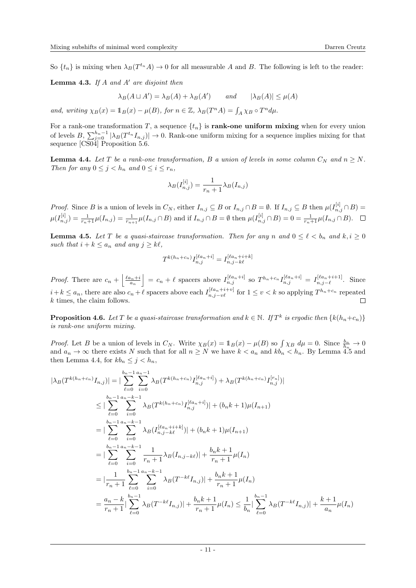So  $\{t_n\}$  is mixing when  $\lambda_B(T^{t_n}A) \to 0$  for all measurable A and B. The following is left to the reader:

**Lemma 4.3.** If A and A' are disjoint then

$$
\lambda_B(A \sqcup A') = \lambda_B(A) + \lambda_B(A') \qquad \text{and} \qquad |\lambda_B(A)| \le \mu(A)
$$

and, writing  $\chi_B(x) = \mathbb{1}_B(x) - \mu(B)$ , for  $n \in \mathbb{Z}$ ,  $\lambda_B(T^n A) = \int_A \chi_B \circ T^n d\mu$ .

For a rank-one transformation T, a sequence  $\{t_n\}$  is **rank-one uniform mixing** when for every union of levels  $B, \sum_{j=0}^{h_n-1} |\lambda_B(T^{t_n}I_{n,j})| \to 0$ . Rank-one uniform mixing for a sequence implies mixing for that sequence [\[CS04\]](#page-21-23) Proposition 5.6.

<span id="page-10-1"></span>**Lemma 4.4.** Let T be a rank-one transformation, B a union of levels in some column  $C_N$  and  $n \geq N$ . Then for any  $0 \leq j < h_n$  and  $0 \leq i \leq r_n$ ,

$$
\lambda_B(I_{n,j}^{[i]}) = \frac{1}{r_n+1} \lambda_B(I_{n,j})
$$

*Proof.* Since B is a union of levels in  $C_N$ , either  $I_{n,j} \subseteq B$  or  $I_{n,j} \cap B = \emptyset$ . If  $I_{n,j} \subseteq B$  then  $\mu(I_{n,j}^{[i]} \cap B) =$  $\mu(I_{n,j}^{[i]}) = \frac{1}{r_{n+1}}\mu(I_{n,j}) = \frac{1}{r_{n+1}}\mu(I_{n,j}\cap B)$  and if  $I_{n,j}\cap B = \emptyset$  then  $\mu(I_{n,j}^{[i]}\cap B) = 0 = \frac{1}{r_{n+1}}\mu(I_{n,j}\cap B)$ .

<span id="page-10-0"></span>**Lemma 4.5.** Let T be a quasi-staircase transformation. Then for any n and  $0 \leq \ell < b_n$  and  $k, i \geq 0$ such that  $i + k \le a_n$  and any  $j \ge k\ell$ ,

$$
T^{k(h_n+c_n)}I_{n,j}^{[\ell a_n+i]}=I_{n,j-k\ell}^{[\ell a_n+i+k]}
$$

*Proof.* There are  $c_n + \left| \frac{\ell a_n + i}{a_n} \right| = c_n + \ell$  spacers above  $I_{n,j}^{[\ell a_n + i]}$  so  $T^{h_n+c_n} I_{n,j}^{[\ell a_n + i]} = I_{n,j-\ell}^{[\ell a_n + i+1]}$ . Since  $i+k \leq a_n$ , there are also  $c_n+\ell$  spacers above each  $I_{n,j-v\ell}^{[\ell a_n+i+v]}$  for  $1 \leq v < k$  so applying  $T^{h_n+c_n}$  repeated k times, the claim follows.  $\Box$ 

<span id="page-10-2"></span>**Proposition 4.6.** Let T be a quasi-staircase transformation and  $k \in \mathbb{N}$ . If  $T^k$  is ergodic then  $\{k(h_n+c_n)\}$ is rank-one uniform mixing.

*Proof.* Let B be a union of levels in  $C_N$ . Write  $\chi_B(x) = 1_B(x) - \mu(B)$  so  $\int \chi_B d\mu = 0$ . Since  $\frac{b_n}{h_n} \to 0$ and  $a_n \to \infty$  there exists N such that for all  $n \geq N$  we have  $k < a_n$  and  $kb_n < h_n$ . By Lemma [4.5](#page-10-0) and then Lemma [4.4,](#page-10-1) for  $kb_n \leq j < h_n$ ,

$$
|\lambda_{B}(T^{k(h_{n}+c_{n})}I_{n,j})| = |\sum_{\ell=0}^{b_{n}-1} \sum_{i=0}^{a_{n}-1} \lambda_{B}(T^{k(h_{n}+c_{n})}I_{n,j}^{[\ell a_{n}+i]}) + \lambda_{B}(T^{k(h_{n}+c_{n})}I_{n,j}^{[r_{n}]})|
$$
  
\n
$$
\leq |\sum_{\ell=0}^{b_{n}-1} \sum_{i=0}^{a_{n}-k-1} \lambda_{B}(T^{k(h_{n}+c_{n})}I_{n,j}^{[\ell a_{n}+i]})| + (b_{n}k+1)\mu(I_{n+1})
$$
  
\n
$$
= |\sum_{\ell=0}^{b_{n}-1} \sum_{i=0}^{a_{n}-k-1} \lambda_{B}(I_{n,j-k\ell}^{[\ell a_{n}+i+k]})| + (b_{n}k+1)\mu(I_{n+1})|
$$
  
\n
$$
= |\sum_{\ell=0}^{b_{n}-1} \sum_{i=0}^{a_{n}-k-1} \sum_{i=0}^{1} \lambda_{B}(I_{n,j-k\ell})| + \frac{b_{n}k+1}{r_{n}+1}\mu(I_{n})|
$$
  
\n
$$
= |\sum_{\ell=n}^{b_{n}-1} \sum_{\ell=0}^{a_{n}-k-1} \sum_{i=0}^{b_{n}-1} \lambda_{B}(T^{-k\ell}I_{n,j})| + \frac{b_{n}k+1}{r_{n}+1}\mu(I_{n})|
$$
  
\n
$$
= \frac{a_{n}-k}{r_{n}+1} \sum_{\ell=0}^{b_{n}-1} \lambda_{B}(T^{-k\ell}I_{n,j})| + \frac{b_{n}k+1}{r_{n}+1}\mu(I_{n}) \leq \frac{1}{b_{n}} |\sum_{\ell=0}^{b_{n}-1} \lambda_{B}(T^{-k\ell}I_{n,j})| + \frac{k+1}{a_{n}}\mu(I_{n})|
$$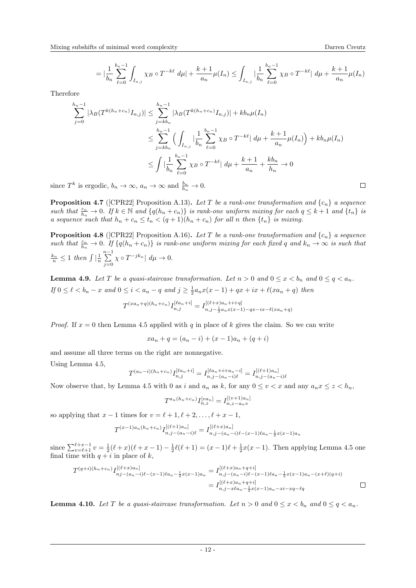$$
= |\frac{1}{b_n} \sum_{\ell=0}^{b_n-1} \int_{I_{n,j}} \chi_B \circ T^{-k\ell} d\mu| + \frac{k+1}{a_n} \mu(I_n) \le \int_{I_{n,j}} |\frac{1}{b_n} \sum_{\ell=0}^{b_n-1} \chi_B \circ T^{-k\ell}| d\mu + \frac{k+1}{a_n} \mu(I_n)
$$

Therefore

$$
\sum_{j=0}^{h_n-1} |\lambda_B(T^{k(h_n+c_n)} I_{n,j})| \le \sum_{j=kb_n}^{h_n-1} |\lambda_B(T^{k(h_n+c_n)} I_{n,j})| + kb_n \mu(I_n)
$$
  

$$
\le \sum_{j=kb_n}^{h_n-1} \left( \int_{I_{n,j}} |\frac{1}{b_n} \sum_{\ell=0}^{b_n-1} \chi_B \circ T^{-k\ell} | d\mu + \frac{k+1}{a_n} \mu(I_n) \right) + kb_n \mu(I_n)
$$
  

$$
\le \int |\frac{1}{b_n} \sum_{\ell=0}^{b_n-1} \chi_B \circ T^{-k\ell} | d\mu + \frac{k+1}{a_n} + \frac{kb_n}{h_n} \to 0
$$

since  $T^k$  is ergodic,  $b_n \to \infty$ ,  $a_n \to \infty$  and  $\frac{b_n}{h_n} \to 0$ .

<span id="page-11-1"></span>**Proposition 4.7** ([\[CPR22\]](#page-21-2) Proposition A.13). Let T be a rank-one transformation and  $\{c_n\}$  a sequence such that  $\frac{c_n}{h_n} \to 0$ . If  $k \in \mathbb{N}$  and  $\{q(h_n + c_n)\}\$  is rank-one uniform mixing for each  $q \leq k+1$  and  $\{t_n\}$  is a sequence such that  $h_n + c_n \leq t_n < (q+1)(h_n + c_n)$  for all n then  $\{t_n\}$  is mixing.

<span id="page-11-2"></span>**Proposition 4.8** ([\[CPR22\]](#page-21-2) Proposition A.16). Let T be a rank-one transformation and  $\{c_n\}$  a sequence such that  $\frac{c_n}{h_n} \to 0$ . If  $\{q(h_n + c_n)\}\$ is rank-one uniform mixing for each fixed q and  $k_n \to \infty$  is such that  $\frac{k_n}{n} \leq 1$  then  $\int \left| \frac{1}{n} \sum_{n=1}^{n-1} \right|$  $j=0$  $\chi \circ T^{-j k_n} \vert \ d\mu \to 0.$ 

<span id="page-11-0"></span>**Lemma 4.9.** Let T be a quasi-staircase transformation. Let  $n > 0$  and  $0 \le x < b_n$  and  $0 \le q < a_n$ . If  $0 \le \ell < b_n - x$  and  $0 \le i < a_n - q$  and  $j \ge \frac{1}{2} a_n x(x-1) + qx + ix + \ell(xa_n + q)$  then

$$
T^{(xa_n+q)(h_n+c_n)}I_{n,j}^{[\ell a_n+i]} = I_{n,j-\frac{1}{2}a_n x(x-1)-qx-ix-\ell x a_n+q)}^{[(\ell +x)a_n+i+q]}
$$

*Proof.* If  $x = 0$  then Lemma [4.5](#page-10-0) applied with q in place of k gives the claim. So we can write

$$
xa_n + q = (a_n - i) + (x - 1)a_n + (q + i)
$$

and assume all three terms on the right are nonnegative.

Using Lemma [4.5,](#page-10-0)

$$
T^{(a_n-i)(h_n+c_n)}I_{n,j}^{[\ell a_n+i]} = I_{n,j-(a_n-i)\ell}^{[\ell a_n+i+a_n-i]} = I_{n,j-(a_n-i)\ell}^{[(\ell+1)a_n]}
$$

Now observe that, by Lemma [4.5](#page-10-0) with 0 as i and  $a_n$  as k, for any  $0 \le v < x$  and any  $a_n x \le z < h_n$ ,

$$
T^{a_n(h_n+c_n)}I_{n,z}^{[va_n]} = I_{n,z-a_nv}^{[(v+1)a_n]}
$$

so applying that  $x - 1$  times for  $v = \ell + 1, \ell + 2, \ldots, \ell + x - 1$ ,

$$
T^{(x-1)a_n(h_n+c_n)}I_{n,j-(a_n-i)\ell}^{[(\ell+1)a_n]}=I_{n,j-(a_n-i)\ell-(x-1)\ell a_n-\frac{1}{2}x(x-1)a_n}^{[(\ell+x)a_n]}
$$

since  $\sum_{v=\ell+1}^{\ell+x-1} v = \frac{1}{2}(\ell+x)(\ell+x-1) - \frac{1}{2}\ell(\ell+1) = (x-1)\ell + \frac{1}{2}x(x-1)$ . Then applying Lemma [4.5](#page-10-0) one final time with  $q + i$  in place of k,

$$
T^{(q+i)(h_n+c_n)}I_{nj-(a_n-i)\ell-(x-1)\ell a_n-\frac{1}{2}x(x-1)a_n}^{[(\ell+x)a_n+q+i]} = I_{n,j-(a_n-i)\ell-(x-1)\ell a_n-\frac{1}{2}x(x-1)a_n-(x+\ell)(q+i)}^{[(\ell+x)a_n+q+i]} = I_{n,j-x\ell a_n-\frac{1}{2}x(x-1)a_n-xi-xq-\ell q}^{[(\ell+x)a_n+q+i]}
$$

<span id="page-11-3"></span>**Lemma 4.10.** Let T be a quasi-staircase transformation. Let  $n > 0$  and  $0 \le x < b_n$  and  $0 \le q < a_n$ .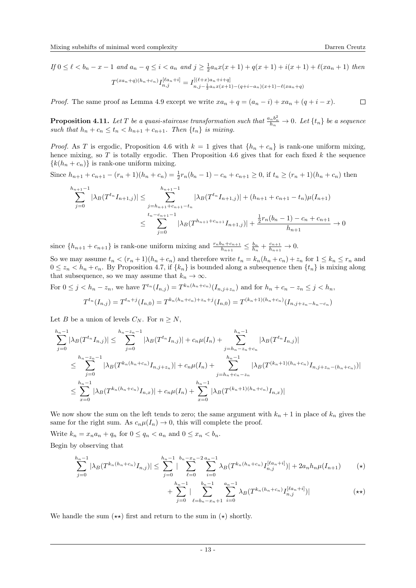If  $0 \leq \ell < b_n - x - 1$  and  $a_n - q \leq i < a_n$  and  $j \geq \frac{1}{2} a_n x(x+1) + q(x+1) + i(x+1) + \ell(xa_n+1)$  then

$$
T^{(xa_n+q)(h_n+c_n)}I_{n,j}^{[\ell a_n+i]} = I_{n,j-\frac{1}{2}a_nx(x+1)-(q+i-a_n)(x+1)-\ell(xa_n+q)}^{[(\ell+x)a_n+i+q]}
$$

*Proof.* The same proof as Lemma [4.9](#page-11-0) except we write  $xa_n + q = (a_n - i) + xa_n + (q + i - x)$ .

<span id="page-12-0"></span>**Proposition 4.11.** Let T be a quasi-staircase transformation such that  $\frac{a_n b_n^2}{h_n} \to 0$ . Let  $\{t_n\}$  be a sequence such that  $h_n + c_n \leq t_n < h_{n+1} + c_{n+1}$ . Then  $\{t_n\}$  is mixing.

*Proof.* As T is ergodic, Proposition [4.6](#page-10-2) with  $k = 1$  gives that  $\{h_n + c_n\}$  is rank-one uniform mixing, hence mixing, so  $T$  is totally ergodic. Then Proposition [4.6](#page-10-2) gives that for each fixed  $k$  the sequence  ${k(h_n + c_n)}$  is rank-one uniform mixing.

Since  $h_{n+1} + c_{n+1} - (r_n + 1)(h_n + c_n) = \frac{1}{2}r_n(b_n - 1) - c_n + c_{n+1} \ge 0$ , if  $t_n \ge (r_n + 1)(h_n + c_n)$  then

$$
\sum_{j=0}^{h_{n+1}-1} |\lambda_B(T^{t_n}I_{n+1,j})| \le \sum_{\substack{j=h_{n+1}+c_{n+1}-t_n \\ t_n-c_{n+1}-1}}^{h_{n+1}-1} |\lambda_B(T^{t_n}I_{n+1,j})| + (h_{n+1}+c_{n+1}-t_n)\mu(I_{n+1})
$$
  

$$
\le \sum_{j=0}^{t_n-c_{n+1}-1} |\lambda_B(T^{h_{n+1}+c_{n+1}}I_{n+1,j})| + \frac{\frac{1}{2}r_n(b_n-1)-c_n+c_{n+1}}{h_{n+1}} \to 0
$$

since  $\{h_{n+1} + c_{n+1}\}\$ is rank-one uniform mixing and  $\frac{r_n b_n + c_{n+1}}{h_{n+1}} \leq \frac{b_n}{h_n} + \frac{c_{n+1}}{h_{n+1}} \to 0$ .

So we may assume  $t_n < (r_n + 1)(h_n + c_n)$  and therefore write  $t_n = k_n(h_n + c_n) + z_n$  for  $1 \leq k_n \leq r_n$  and  $0 \leq z_n < h_n + c_n$ . By Proposition [4.7,](#page-11-1) if  $\{k_n\}$  is bounded along a subsequence then  $\{t_n\}$  is mixing along that subsequence, so we may assume that  $k_n \to \infty$ .

For  $0 \leq j < h_n - z_n$ , we have  $T^{t_n}(I_{n,j}) = T^{k_n(h_n+c_n)}(I_{n,j+z_n})$  and for  $h_n + c_n - z_n \leq j < h_n$ ,  $k(h+r)+z_0+i(k)$ 

$$
T^{t_n}(I_{n,j}) = T^{t_n+j}(I_{n,0}) = T^{k_n(h_n+c_n)+z_n+j}(I_{n,0}) = T^{(k_n+1)(h_n+c_n)}(I_{n,j+z_n-h_n-c_n})
$$

Let B be a union of levels  $C_N$ . For  $n \geq N$ ,

$$
\sum_{j=0}^{h_n-1} |\lambda_B(T^{t_n}I_{n,j})| \leq \sum_{j=0}^{h_n-z_n-1} |\lambda_B(T^{t_n}I_{n,j})| + c_n \mu(I_n) + \sum_{j=h_n-z_n+c_n}^{h_n-1} |\lambda_B(T^{t_n}I_{n,j})|
$$
  

$$
\leq \sum_{j=0}^{h_n-z_n-1} |\lambda_B(T^{k_n(h_n+c_n)}I_{n,j+z_n})| + c_n \mu(I_n) + \sum_{j=h_n+c_n-z_n}^{h_n-1} |\lambda_B(T^{(k_n+1)(h_n+c_n)}I_{n,j+z_n-(h_n+c_n)})|
$$
  

$$
\leq \sum_{x=0}^{h_n-1} |\lambda_B(T^{k_n(h_n+c_n)}I_{n,x})| + c_n \mu(I_n) + \sum_{x=0}^{h_n-1} |\lambda_B(T^{(k_n+1)(h_n+c_n)}I_{n,x})|
$$

We now show the sum on the left tends to zero; the same argument with  $k_n + 1$  in place of  $k_n$  gives the same for the right sum. As  $c_n\mu(I_n) \to 0$ , this will complete the proof.

Write  $k_n = x_n a_n + q_n$  for  $0 \le q_n < a_n$  and  $0 \le x_n < b_n$ .

Begin by observing that

$$
\sum_{j=0}^{h_n-1} |\lambda_B(T^{k_n(h_n+c_n)}I_{n,j})| \leq \sum_{j=0}^{h_n-1} |\sum_{\ell=0}^{b_n-x_n-2} \sum_{i=0}^{a_n-1} \lambda_B(T^{k_n(h_n+c_n)}I_{n,j}^{[\ell a_n+i]})| + 2a_n h_n \mu(I_{n+1}) \qquad (*)
$$

$$
+\sum_{j=0}^{h_n-1} |\sum_{\ell=b_n-x_n+1}^{b_n-1} \sum_{i=0}^{a_n-1} \lambda_B (T^{k_n(h_n+c_n)} I_{n,j}^{[\ell a_n+i]})| \qquad (\star \star)
$$

We handle the sum  $(\star \star)$  first and return to the sum in  $(\star)$  shortly.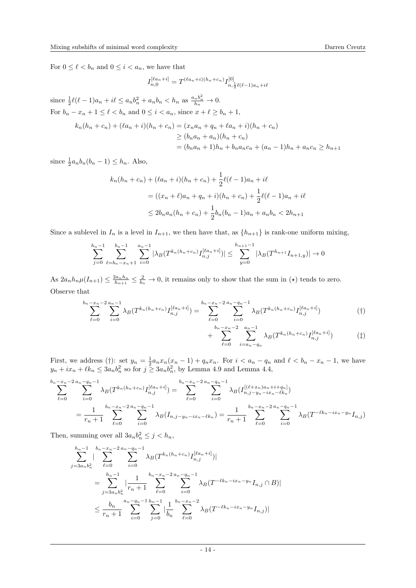For  $0 \leq \ell < b_n$  and  $0 \leq i < a_n$ , we have that

$$
I_{n,0}^{[\ell a_n + i]} = T^{(\ell a_n + i)(h_n + c_n)} I_{n, \frac{1}{2}\ell(\ell-1)a_n + i\ell}^{[0]}
$$

since  $\frac{1}{2}\ell(\ell-1)a_n + i\ell \leq a_nb_n^2 + a_nb_n < h_n$  as  $\frac{a_nb_n^2}{h_n} \to 0$ . For  $b_n - x_n + 1 \leq \ell < b_n$  and  $0 \leq i < a_n$ , since  $x + \ell \geq b_n + 1$ ,

$$
k_n(h_n + c_n) + (\ell a_n + i)(h_n + c_n) = (x_n a_n + q_n + \ell a_n + i)(h_n + c_n)
$$
  
\n
$$
\ge (b_n a_n + a_n)(h_n + c_n)
$$
  
\n
$$
= (b_n a_n + 1)h_n + b_n a_n c_n + (a_n - 1)h_n + a_n c_n \ge h_{n+1}
$$

since  $\frac{1}{2}a_n b_n(b_n - 1) \leq h_n$ . Also,

$$
k_n(h_n + c_n) + (\ell a_n + i)(h_n + c_n) + \frac{1}{2}\ell(\ell - 1)a_n + i\ell
$$
  
=  $((x_n + \ell)a_n + q_n + i)(h_n + c_n) + \frac{1}{2}\ell(\ell - 1)a_n + i\ell$   
 $\le 2b_na_n(h_n + c_n) + \frac{1}{2}b_n(b_n - 1)a_n + a_nb_n < 2h_{n+1}$ 

Since a sublevel in  $I_n$  is a level in  $I_{n+1}$ , we then have that, as  $\{h_{n+1}\}\$ is rank-one uniform mixing,

$$
\sum_{j=0}^{h_n-1} \sum_{\ell=b_n-x_n+1}^{b_n-1} \sum_{i=0}^{a_n-1} |\lambda_B(T^{k_n(h_n+c_n)}I_{n,j}^{[\ell a_n+i]})| \leq \sum_{y=0}^{h_{n+1}-1} |\lambda_B(T^{h_{n+1}}I_{n+1,y})| \to 0
$$

As  $2a_n h_n \mu(I_{n+1}) \leq \frac{2a_n h_n}{h_{n+1}} \leq \frac{2}{h_n} \to 0$ , it remains only to show that the sum in ( $\star$ ) tends to zero. Observe that

$$
\sum_{\ell=0}^{b_n-x_n-2} \sum_{i=0}^{a_n-1} \lambda_B(T^{k_n(h_n+c_n)} I_{n,j}^{[\ell a_n+i]}) = \sum_{\ell=0}^{b_n-x_n-2} \sum_{i=0}^{a_n-q_n-1} \lambda_B(T^{k_n(h_n+c_n)} I_{n,j}^{[\ell a_n+i]}) \tag{\dagger}
$$

$$
+\sum_{\ell=0}^{b_n-x_n-2} \sum_{i=a_n-q_n}^{a_n-1} \lambda_B(T^{k_n(h_n+c_n)} I_{n,j}^{[\ell a_n+i]}) \tag{1}
$$

First, we address (†): set  $y_n = \frac{1}{2} a_n x_n (x_n - 1) + q_n x_n$ . For  $i < a_n - q_n$  and  $\ell < b_n - x_n - 1$ , we have  $y_n + ix_n + \ell k_n \leq 3a_n b_n^2$  so for  $j \geq 3a_n b_n^2$ , by Lemma [4.9](#page-11-0) and Lemma [4.4,](#page-10-1)

$$
\sum_{\ell=0}^{b_n-x_n-2} \sum_{i=0}^{a_n-q_n-1} \lambda_B(T^{k_n(h_n+c_n)}I_{n,j}^{[\ell a_n+i]}) = \sum_{\ell=0}^{b_n-x_n-2} \sum_{i=0}^{a_n-q_n-1} \lambda_B(I_{n,j-y_n-ix_n-\ell k_n}^{[(\ell+x_n)a_n+i+q_n]})
$$
  
= 
$$
\frac{1}{r_n+1} \sum_{\ell=0}^{b_n-x_n-2} \sum_{i=0}^{a_n-q_n-1} \lambda_B(I_{n,j-y_n-ix_n-\ell k_n}) = \frac{1}{r_n+1} \sum_{\ell=0}^{b_n-x_n-2} \sum_{i=0}^{a_n-q_n-1} \lambda_B(T^{-\ell k_n-ix_n-y_n}I_{n,j})
$$

Then, summing over all  $3a_n b_n^2 \leq j < h_n$ ,

$$
\sum_{j=3a_n b_n^2}^{h_n-1} |\sum_{\ell=0}^{b_n-x_n-2} \sum_{i=0}^{a_n-q_n-1} \lambda_B (T^{k_n(h_n+c_n)} I_{n,j}^{[\ell a_n+i]})|
$$
  
= 
$$
\sum_{j=3a_n b_n^2}^{h_n-1} |\frac{1}{r_n+1} \sum_{\ell=0}^{b_n-x_n-2} \sum_{i=0}^{a_n-q_n-1} \lambda_B (T^{-\ell k_n - ix_n - y_n} I_{n,j} \cap B)|
$$
  

$$
\leq \frac{b_n}{r_n+1} \sum_{i=0}^{a_n-q_n-1} \sum_{j=0}^{h_n-1} |\frac{1}{b_n} \sum_{\ell=0}^{b_n-x_n-2} \lambda_B (T^{-\ell k_n - ix_n - y_n} I_{n,j})|
$$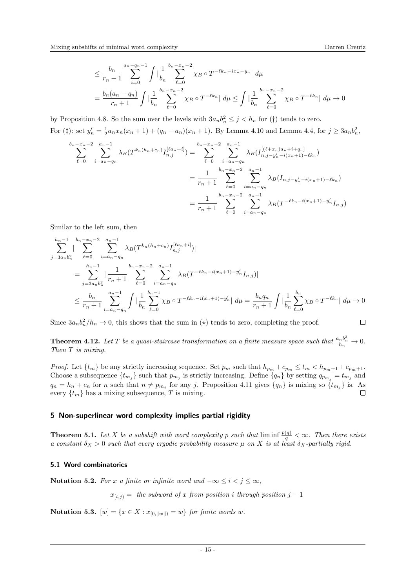$$
\leq \frac{b_n}{r_n+1} \sum_{i=0}^{a_n - q_n - 1} \int \left| \frac{1}{b_n} \sum_{\ell=0}^{b_n - x_n - 2} \chi_B \circ T^{-\ell k_n - ix_n - y_n} \right| d\mu
$$
  
= 
$$
\frac{b_n(a_n - q_n)}{r_n + 1} \int \left| \frac{1}{b_n} \sum_{\ell=0}^{b_n - x_n - 2} \chi_B \circ T^{-\ell k_n} \right| d\mu \leq \int \left| \frac{1}{b_n} \sum_{\ell=0}^{b_n - x_n - 2} \chi_B \circ T^{-\ell k_n} \right| d\mu \to 0
$$

by Proposition [4.8.](#page-11-2) So the sum over the levels with  $3a_n b_n^2 \leq j < h_n$  for (†) tends to zero. For ( $\ddagger$ ): set  $y'_n = \frac{1}{2} a_n x_n (x_n + 1) + (q_n - a_n)(x_n + 1)$ . By Lemma [4.10](#page-11-3) and Lemma [4.4,](#page-10-1) for  $j \ge 3a_n b_n^2$ ,

$$
\sum_{\ell=0}^{b_n-x_n-2} \sum_{i=a_n-q_n}^{a_n-1} \lambda_B(T^{k_n(h_n+c_n)}I_{n,j}^{[\ell a_n+i]}) = \sum_{\ell=0}^{b_n-x_n-2} \sum_{i=a_n-q_n}^{a_n-1} \lambda_B(I_{n,j-y'_n-i(x_n+1)-\ell k_n}^{[(\ell+x_n)a_n+i+q_n]})
$$

$$
= \frac{1}{r_n+1} \sum_{\ell=0}^{b_n-x_n-2} \sum_{i=a_n-q_n}^{a_n-1} \lambda_B(I_{n,j-y'_n-i(x_n+1)-\ell k_n})
$$

$$
= \frac{1}{r_n+1} \sum_{\ell=0}^{b_n-x_n-2} \sum_{i=a_n-q_n}^{a_n-1} \lambda_B(T^{-\ell k_n-i(x_n+1)-y'_n}I_{n,j})
$$

Similar to the left sum, then

$$
\sum_{j=3a_n b_n^2}^{h_n-1} \sum_{\ell=0}^{b_n-x_n-2} \sum_{i=a_n-q_n}^{a_n-1} \lambda_B(T^{k_n(h_n+c_n)} I_{n,j}^{[\ell a_n+i]})|
$$
\n
$$
= \sum_{j=3a_n b_n^2}^{h_n-1} \left| \frac{1}{r_n+1} \sum_{\ell=0}^{b_n-x_n-2} \sum_{i=a_n-q_n}^{a_n-1} \lambda_B(T^{-\ell k_n-i(x_n+1)-y'_n} I_{n,j}) \right|
$$
\n
$$
\leq \frac{b_n}{r_n+1} \sum_{i=a_n-q_n}^{a_n-1} \int \left| \frac{1}{b_n} \sum_{\ell=0}^{b_n-1} \chi_B \circ T^{-\ell k_n-i(x_n+1)-y'_n} \right| d\mu = \frac{b_n q_n}{r_n+1} \int \left| \frac{1}{b_n} \sum_{\ell=0}^{b_n} \chi_B \circ T^{-\ell k_n} \right| d\mu \to 0
$$

Since  $3a_nb_n^2/h_n \to 0$ , this shows that the sum in ( $\star$ ) tends to zero, completing the proof.

**Theorem 4.12.** Let T be a quasi-staircase transformation on a finite measure space such that  $\frac{a_n b_n^2}{h_n} \to 0$ . Then T is mixing.

*Proof.* Let  $\{t_m\}$  be any strictly increasing sequence. Set  $p_m$  such that  $h_{p_m} + c_{p_m} \leq t_m < h_{p_m+1} + c_{p_m+1}$ . Choose a subsequence  $\{t_{m_j}\}\$  such that  $p_{m_j}$  is strictly increasing. Define  $\{q_n\}$  by setting  $q_{p_{m_j}}=t_{m_j}$  and  $q_n = h_n + c_n$  for n such that  $n \neq p_{m_j}$  for any j. Proposition [4.11](#page-12-0) gives  $\{q_n\}$  is mixing so  $\{t_{m_j}\}$  is. As every  $\{t_m\}$  has a mixing subsequence, T is mixing.  $\Box$ 

# 5 Non-superlinear word complexity implies partial rigidity

<span id="page-14-0"></span>**Theorem 5.1.** Let X be a subshift with word complexity p such that  $\liminf \frac{p(q)}{q} < \infty$ . Then there exists a constant  $\delta_X > 0$  such that every ergodic probability measure  $\mu$  on X is at least  $\delta_X$ -partially rigid.

#### 5.1 Word combinatorics

Notation 5.2. For x a finite or infinite word and  $-\infty \le i < j \le \infty$ ,

 $x_{[i,j)} =$  the subword of x from position i through position j – 1

Notation 5.3.  $[w] = \{x \in X : x_{[0, \|w\|)} = w\}$  for finite words w.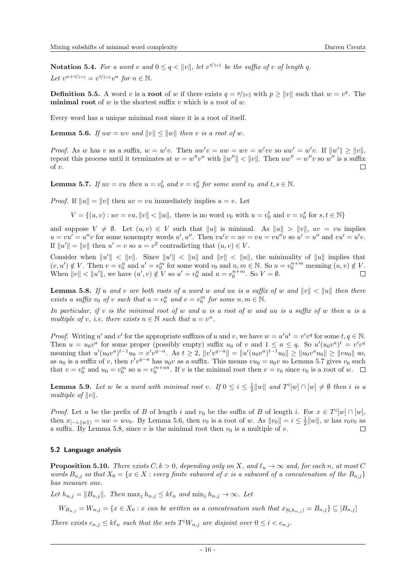**Notation 5.4.** For a word v and  $0 \leq q < ||v||$ , let  $v^{q/||v||}$  be the suffix of v of length q. Let  $v^{n+q/||v||} = v^{q/||v||}v^n$  for  $n \in \mathbb{N}$ .

**Definition 5.5.** A word v is a **root** of w if there exists  $q = p/||v||$  with  $p \ge ||v||$  such that  $w = v<sup>q</sup>$ . The **minimal root** of  $w$  is the shortest suffix  $v$  which is a root of  $w$ .

Every word has a unique minimal root since it is a root of itself.

<span id="page-15-1"></span>**Lemma 5.6.** If  $uw = wv$  and  $||v|| \le ||w||$  then v is a root of w.

*Proof.* As w has v as a suffix,  $w = w'v$ . Then  $uw'v = uw = wv = w'vv$  so  $uw' = w'v$ . If  $||w'|| \ge ||v||$ , repeat this process until it terminates at  $w = w''v^n$  with  $||w''|| < ||v||$ . Then  $uw'' = w''v$  so  $w''$  is a suffix  $\alpha$ f v.  $\Box$ 

<span id="page-15-0"></span>**Lemma 5.7.** If  $uv = vu$  then  $u = v_0^t$  and  $v = v_0^s$  for some word  $v_0$  and  $t, s \in \mathbb{N}$ .

*Proof.* If  $||u|| = ||v||$  then  $uv = vu$  immediately implies  $u = v$ . Let

 $V = \{(u, v) : uv = vu, ||v|| < ||u||$ , there is no word  $v_0$  with  $u = v_0^t$  and  $v = v_0^s$  for  $s, t \in \mathbb{N}\}$ 

and suppose  $V \neq \emptyset$ . Let  $(u, v) \in V$  such that  $||u||$  is minimal. As  $||u|| > ||v||$ ,  $uv = vu$  implies  $u = vu' = u''v$  for some nonempty words u', u''. Then  $vu'v = uv = vu = vu''v$  so  $u' = u''$  and  $vu' = u'v$ . If  $||u'|| = ||v||$  then  $u' = v$  so  $u = v^2$  contradicting that  $(u, v) \in V$ .

Consider when  $||u'|| < ||v||$ . Since  $||u'|| < ||u||$  and  $||v|| < ||u||$ , the minimality of  $||u||$  implies that  $(v, u') \notin V$ . Then  $v = v_0^n$  and  $u' = v_0^m$  for some word  $v_0$  and  $n, m \in \mathbb{N}$ . So  $u = v_0^{n+m}$  meaning  $(u, v) \notin V$ . When  $||v|| < ||u'||$ , we have  $(u', v) \notin V$  so  $u' = v_0^n$  and  $u = v_0^{n+m}$ . So  $V = \emptyset$ .  $\Box$ 

<span id="page-15-2"></span>**Lemma 5.8.** If u and v are both roots of a word w and uu is a suffix of w and  $||v|| < ||u||$  then there exists a suffix  $v_0$  of v such that  $u = v_0^n$  and  $v = v_0^m$  for some  $n, m \in \mathbb{N}$ .

In particular, if  $v$  is the minimal root of  $w$  and  $u$  is a root of  $w$  and  $uu$  is a suffix of  $w$  then  $u$  is a multiple of v, i.e. there exists  $n \in \mathbb{N}$  such that  $u = v^n$ .

*Proof.* Writing u' and v' for the appropriate suffixes of u and v, we have  $w = u'u^t = v'v^q$  for some  $t, q \in \mathbb{N}$ . Then  $u = u_0 v^a$  for some proper (possibly empty) suffix  $u_0$  of v and  $1 \le a \le q$ . So  $u'(u_0 v^a)^t = v' v^q$ meaning that  $u'(u_0v^a)^{t-1}u_0 = v'v^{q-a}$ . As  $t \geq 2$ ,  $||v'v^{q-a}|| = ||u'(u_0v^a)^{t-1}u_0|| \geq ||u_0v^au_0|| \geq ||vu_0||$  so, as  $u_0$  is a suffix of v, then  $v'v^{q-a}$  has  $u_0v$  as a suffix. This means  $vu_0 = u_0v$  so Lemma [5.7](#page-15-0) gives  $v_0$  such that  $v = v_0^n$  and  $u_0 = v_0^m$  so  $u = v_0^{m+an}$ . If v is the minimal root then  $v = v_0$  since  $v_0$  is a root of w.

<span id="page-15-3"></span>**Lemma 5.9.** Let w be a word with minimal root v. If  $0 \le i \le \frac{1}{2} ||w||$  and  $T^i[w] \cap [w] \ne \emptyset$  then i is a multiple of  $||v||$ .

*Proof.* Let u be the prefix of B of length i and  $v_0$  be the suffix of B of length i. For  $x \in T^i[w] \cap [w]$ , then  $x_{[-i, \|w\|)} = uw = wv_0$ . By Lemma [5.6,](#page-15-1) then  $v_0$  is a root of w. As  $\|v_0\| = i \leq \frac{1}{2} \|w\|$ , w has  $v_0v_0$  as a suffix. By Lemma [5.8,](#page-15-2) since v is the minimal root then  $v_0$  is a multiple of v.  $\Box$ 

#### 5.2 Language analysis

<span id="page-15-4"></span>**Proposition 5.10.** There exists  $C, k > 0$ , depending only on X, and  $\ell_n \to \infty$  and, for each n, at most C words  $B_{n,j}$  so that  $X_0 = \{x \in X : every finite subword of x is a subword of a concatenation of the  $B_{n,j}\}$$ has measure one.

Let  $h_{n,j} = ||B_{n,j}||$ . Then  $\max_j h_{n,j} \leq k\ell_n$  and  $\min_j h_{n,j} \to \infty$ . Let

 $W_{B_{n,i}} = W_{n,j} = \{x \in X_0 : x \text{ can be written as a concatenation such that } x_{[0,h_{n,i})} = B_{n,j}\} \subseteq [B_{n,j}]$ 

There exists  $c_{n,j} \leq k \ell_n$  such that the sets  $T^i W_{n,j}$  are disjoint over  $0 \leq i < c_{n,j}$ .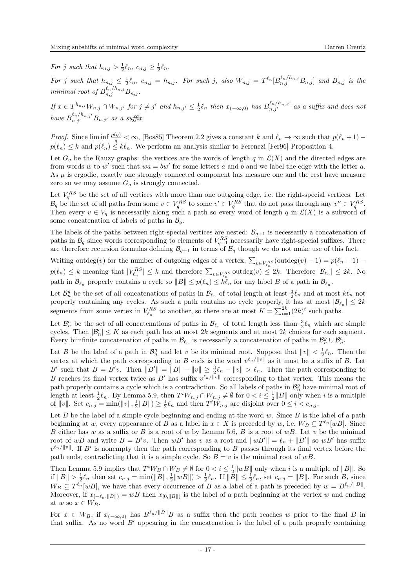For j such that  $h_{n,j} > \frac{1}{2} \ell_n$ ,  $c_{n,j} \geq \frac{1}{2} \ell_n$ .

For j such that  $h_{n,j} \leq \frac{1}{2} \ell_n$ ,  $c_{n,j} = h_{n,j}$ . For such j, also  $W_{n,j} = T^{\ell_n} [B^{\ell_n/h_{n,j}}_{n,j} B_{n,j}]$  and  $B_{n,j}$  is the minimal root of  $B_{n,j}^{\ell_n/h_{n,j}} B_{n,j}$ .

 $If x \in T^{h_{n,j}} W_{n,j} \cap W_{n,j'}$  for  $j \neq j'$  and  $h_{n,j'} \leq \frac{1}{2} \ell_n$  then  $x_{(-\infty,0)}$  has  $B^{\ell_n/h_{n,j'}}_{n,j'}$  as a suffix and does not have  $B_{n,j'}^{\ell_n/h_{n,j'}}B_{n,j'}$  as a suffix.

*Proof.* Since  $\liminf \frac{p(q)}{q} < \infty$ , [\[Bos85\]](#page-21-9) Theorem 2.2 gives a constant k and  $\ell_n \to \infty$  such that  $p(\ell_n + 1)$  –  $p(\ell_n) \leq k$  and  $p(\ell_n) \leq k\ell_n$ . We perform an analysis similar to Ferenczi [\[Fer96\]](#page-21-1) Proposition 4.

Let  $G_q$  be the Rauzy graphs: the vertices are the words of length q in  $\mathcal{L}(X)$  and the directed edges are from words w to w' such that  $wa = bw'$  for some letters a and b and we label the edge with the letter a. As  $\mu$  is ergodic, exactly one strongly connected component has measure one and the rest have measure zero so we may assume  $G_q$  is strongly connected.

Let  $V_q^{RS}$  be the set of all vertices with more than one outgoing edge, i.e. the right-special vertices. Let  $\mathcal{B}_q$  be the set of all paths from some  $v \in V_q^{RS}$  to some  $v' \in V_q^{RS}$  that do not pass through any  $v'' \in V_q^{RS}$ . Then every  $v \in V_q$  is necessarily along such a path so every word of length q in  $\mathcal{L}(X)$  is a subword of some concatenation of labels of paths in  $\mathcal{B}_q$ .

The labels of the paths between right-special vertices are nested:  $\mathcal{B}_{q+1}$  is necessarily a concatenation of paths in  $\mathcal{B}_q$  since words corresponding to elements of  $V_{q+1}^{RS}$  necessarily have right-special suffixes. There are therefore recursion formulas defining  $\mathcal{B}_{q+1}$  in terms of  $\mathcal{B}_q$  though we do not make use of this fact.

Writing outdeg $(v)$  for the number of outgoing edges of a vertex,  $\sum_{v \in V_{\ell}^{RS}} (\text{outdeg}(v) - 1) = p(\ell_n + 1)$  $p(\ell_n) \leq k$  meaning that  $|V_{\ell_n}^{RS}| \leq k$  and therefore  $\sum_{v \in V_{\ell_n}^{RS}}$  outdeg $(v) \leq 2k$ . Therefore  $|\mathcal{B}_{\ell_n}| \leq 2k$ . No path in  $\mathcal{B}_{\ell_n}$  properly contains a cycle so  $||B|| \leq p(\ell_n) \leq k\ell_n$  for any label B of a path in  $\mathcal{B}_{\ell_n}$ .

Let  $\mathcal{B}_n^g$  be the set of all concatenations of paths in  $\mathcal{B}_{\ell_n}$  of total length at least  $\frac{3}{2}\ell_n$  and at most  $k\ell_n$  not properly containing any cycles. As such a path contains no cycle properly, it has at most  $|\mathcal{B}_{\ell_n}| \leq 2k$ segments from some vertex in  $V_{\ell_n}^{RS}$  to another, so there are at most  $K = \sum_{t=1}^{2k} (2k)^t$  such paths.

Let  $\mathcal{B}_n^c$  be the set of all concatenations of paths in  $\mathcal{B}_{\ell_n}$  of total length less than  $\frac{3}{2}\ell_n$  which are simple cycles. Then  $|\mathcal{B}_n^c| \leq K$  as each path has at most  $2k$  segments and at most  $2k$  choices for each segment. Every biinfinite concatenation of paths in  $\mathcal{B}_{\ell_n}$  is necessarily a concatenation of paths in  $\mathcal{B}_n^g \cup \mathcal{B}_n^c$ .

Let B be the label of a path in  $\mathcal{B}_n^g$  and let v be its minimal root. Suppose that  $||v|| < \frac{1}{2}\ell_n$ . Then the vertex at which the path corresponding to B ends is the word  $v^{\ell_n/||v||}$  as it must be a suffix of B. Let B' such that  $B = B'v$ . Then  $||B'|| = ||B|| - ||v|| \ge \frac{3}{2}\ell_n - ||v|| > \ell_n$ . Then the path corresponding to B reaches its final vertex twice as B' has suffix  $v^{\ell_n/||v||}$  corresponding to that vertex. This means the path properly contains a cycle which is a contradiction. So all labels of paths in  $\mathcal{B}_n^g$  have minimal root of length at least  $\frac{1}{2}\ell_n$ . By Lemma [5.9,](#page-15-3) then  $T^iW_{n,j} \cap W_{n,j} \neq \emptyset$  for  $0 < i \leq \frac{1}{2}||B||$  only when i is a multiple of  $||v||$ . Set  $c_{n,j} = \min(||v||, \frac{1}{2}||B||) \ge \frac{1}{2}\ell_n$  and then  $T^i\tilde{W}_{n,j}$  are disjoint over  $0 \le i < c_{n,j}$ .

Let  $B$  be the label of a simple cycle beginning and ending at the word  $w$ . Since  $B$  is the label of a path beginning at w, every appearance of B as a label in  $x \in X$  is preceded by w, i.e.  $W_B \subseteq T^{\ell_n}[wB]$ . Since B either has w as a suffix or B is a root of w by Lemma [5.6,](#page-15-1) B is a root of  $wB$ . Let v be the minimal root of wB and write  $B = B'v$ . Then wB' has v as a root and  $||wB'|| = \ell_n + ||B'||$  so wB' has suffix  $v^{\ell_n/||v||}$ . If B' is nonempty then the path corresponding to B passes through its final vertex before the path ends, contradicting that it is a simple cycle. So  $B = v$  is the minimal root of wB.

Then Lemma [5.9](#page-15-3) implies that  $T^iW_B \cap W_B \neq \emptyset$  for  $0 < i \leq \frac{1}{2} ||wB||$  only when i is a multiple of  $||B||$ . So if  $||B|| > \frac{1}{2}\ell_n$  then set  $c_{n,j} = \min(||B||, \frac{1}{2}||wB||) > \frac{1}{2}\ell_n$ . If  $||\tilde{B}|| \leq \frac{1}{2}\ell_n$ , set  $c_{n,j} = ||B||$ . For such B, since  $W_B \subseteq T^{\ell_n}[wB],$  we have that every occurrence of B as a label of a path is preceded by  $w = B^{\ell_n/||B||}$ . Moreover, if  $x_{[-\ell_n, \|B\|)} = wB$  then  $x_{[0, \|B\|)}$  is the label of a path beginning at the vertex w and ending at w so  $x \in W_B$ .

For  $x \in W_B$ , if  $x_{(-\infty,0)}$  has  $B^{\ell_n/\|B\|}$  as a suffix then the path reaches w prior to the final B in that suffix. As no word  $B'$  appearing in the concatenation is the label of a path properly containing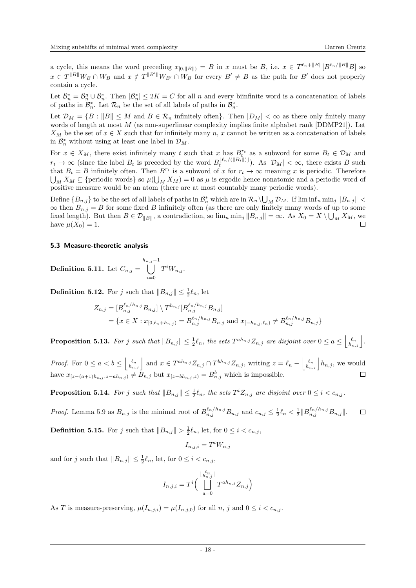a cycle, this means the word preceding  $x_{[0,||B||)} = B$  in x must be B, i.e.  $x \in T^{\ell_n+||B||}[B^{\ell_n/||B||}B]$  so  $x \in T^{\|B\|}W_B \cap W_B$  and  $x \notin T^{\|B'\|}W_{B'} \cap W_B$  for every  $B' \neq B$  as the path for  $B'$  does not properly contain a cycle.

Let  $\mathcal{B}_n^* = \mathcal{B}_n^g \cup \mathcal{B}_n^c$ . Then  $|\mathcal{B}_n^*| \leq 2K = C$  for all n and every biinfinite word is a concatenation of labels of paths in  $\mathcal{B}_n^*$ . Let  $\mathcal{R}_n$  be the set of all labels of paths in  $\mathcal{B}_n^*$ .

Let  $\mathcal{D}_M = \{B : ||B|| \leq M \text{ and } B \in \mathcal{R}_n \text{ infinitely often}\}.$  Then  $|D_M| < \infty$  as there only finitely many words of length at most M (as non-superlinear complexity implies finite alphabet rank [\[DDMP21\]](#page-21-5)). Let  $X_M$  be the set of  $x \in X$  such that for infinitely many n, x cannot be written as a concatenation of labels in  $\mathcal{B}_n^*$  without using at least one label in  $\mathcal{D}_M$ .

For  $x \in X_M$ , there exist infinitely many t such that x has  $B_t^{r_t}$  as a subword for some  $B_t \in \mathcal{D}_M$  and  $r_t \to \infty$  (since the label  $B_t$  is preceded by the word  $B_t^{\lfloor \ell_n/(||B_t||) \rfloor}$ ). As  $|\mathcal{D}_M| < \infty$ , there exists B such that  $B_t = B$  infinitely often. Then  $B^{r_t}$  is a subword of x for  $r_t \to \infty$  meaning x is periodic. Therefore  $\bigcup_M X_M \subseteq \{\text{periodic words}\}\$  so  $\mu(\bigcup_M X_M) = 0$  as  $\mu$  is ergodic hence nonatomic and a periodic word of positive measure would be an atom (there are at most countably many periodic words).

Define  $\{B_{n,j}\}$  to be the set of all labels of paths in  $\mathcal{B}_n^*$  which are in  $\mathcal{R}_n \setminus \bigcup_M \mathcal{D}_M$ . If  $\liminf_n \min_j \|B_{n,j}\|$  $\infty$  then  $B_{n,j} = B$  for some fixed B infinitely often (as there are only finitely many words of up to some fixed length). But then  $B \in \mathcal{D}_{\|B\|}$ , a contradiction, so  $\lim_n \min_j \|B_{n,j}\| = \infty$ . As  $X_0 = X \setminus \bigcup_M X_M$ , we have  $\mu(X_0) = 1$ .

### 5.3 Measure-theoretic analysis

**Definition 5.11.** Let  $C_{n,j} =$  $\bigcap_{n,j=1}^{h_{n,j}-1}$  $i=0$  $T^iW_{n,j}$ .

**Definition 5.12.** For j such that  $||B_{n,j}|| \leq \frac{1}{2}\ell_n$ , let

$$
Z_{n,j} = [B_{n,j}^{\ell_n/h_{n,j}} B_{n,j}] \setminus T^{h_{n,j}} [B_{n,j}^{\ell_n/h_{n,j}} B_{n,j}]
$$
  
=  $\{x \in X : x_{[0,\ell_n+h_{n,j})} = B_{n,j}^{\ell_n/h_{n,j}} B_{n,j} \text{ and } x_{[-h_{n,j},\ell_n)} \neq B_{n,j}^{\ell_n/h_{n,j}} B_{n,j}\}$ 

**Proposition 5.13.** For j such that  $||B_{n,j}|| \leq \frac{1}{2}\ell_n$ , the sets  $T^{ah_{n,j}}Z_{n,j}$  are disjoint over  $0 \leq a \leq \left\lfloor \frac{\ell_n}{h_{n,j}} \right\rfloor$ .

Proof. For  $0 \le a < b \le \left| \frac{\ell_n}{h_{n,j}} \right|$  and  $x \in T^{ah_{n,j}} Z_{n,j} \cap T^{bh_{n,j}} Z_{n,j}$ , writing  $z = \ell_n - \left| \frac{\ell_n}{h_{n,j}} \right| h_{n,j}$ , we would have  $x_{[z-(a+1)h_{n,j},z-ah_{n,j})} \neq B_{n,j}$  but  $x_{[z-bh_{n,j},z)} = B_{n,j}^b$  which is impossible.  $\Box$ 

**Proposition 5.14.** For j such that  $||B_{n,j}|| \leq \frac{1}{2}\ell_n$ , the sets  $T^i Z_{n,j}$  are disjoint over  $0 \leq i < c_{n,j}$ .

*Proof.* Lemma [5.9](#page-15-3) as  $B_{n,j}$  is the minimal root of  $B_{n,j}^{\ell_n/h_{n,j}}B_{n,j}$  and  $c_{n,j} \leq \frac{1}{2}\ell_n < \frac{1}{2}||B_{n,j}^{\ell_n/h_{n,j}}B_{n,j}||$ .  $\Box$ **Definition 5.15.** For j such that  $||B_{n,j}|| > \frac{1}{2}\ell_n$ , let, for  $0 \le i < c_{n,j}$ ,

 $I_{n,j,i} = T^i W_{n,j}$ 

and for j such that  $||B_{n,j}|| \leq \frac{1}{2}\ell_n$ , let, for  $0 \leq i < c_{n,j}$ ,

$$
I_{n,j,i} = T^i \bigg( \bigcup_{a=0}^{\lfloor \frac{\ell_n}{h_{n,j}} \rfloor} T^{ah_{n,j}} Z_{n,j} \bigg)
$$

As T is measure-preserving,  $\mu(I_{n,i,i}) = \mu(I_{n,i,0})$  for all n, j and  $0 \leq i < c_{n,i}$ .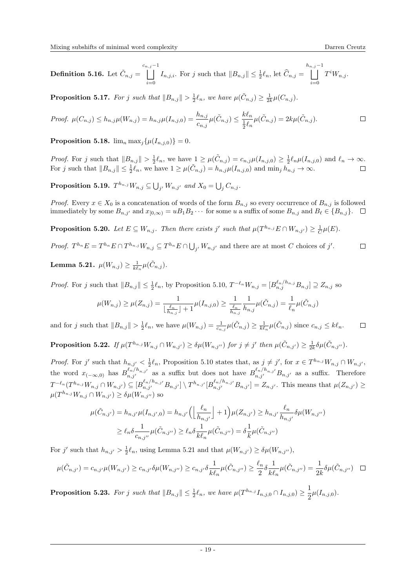Definition 5.16. Let  $\tilde{C}_{n,j} =$  $\begin{array}{c}c_{n,j}-1\\| \end{array}$  $i=0$  $I_{n,j,i}$ . For j such that  $||B_{n,j}|| \leq \frac{1}{2}\ell_n$ , let  $\widehat{C}_{n,j} =$  $\bigcap_{j=1}^{h_{n,j}-1}$  $i=0$  $T^iW_{n,j}$ .

<span id="page-18-3"></span>**Proposition 5.17.** For j such that  $||B_{n,j}|| > \frac{1}{2}\ell_n$ , we have  $\mu(\tilde{C}_{n,j}) \geq \frac{1}{2k}\mu(C_{n,j})$ .

Proof. 
$$
\mu(C_{n,j}) \le h_{n,j}\mu(W_{n,j}) = h_{n,j}\mu(I_{n,j,0}) = \frac{h_{n,j}}{c_{n,j}}\mu(\tilde{C}_{n,j}) \le \frac{k\ell_n}{\frac{1}{2}\ell_n}\mu(\tilde{C}_{n,j}) = 2k\mu(\tilde{C}_{n,j}).
$$

<span id="page-18-1"></span>**Proposition 5.18.**  $\lim_{n} \max_{i} {\{\mu(I_{n,i,0})\}} = 0.$ 

Proof. For j such that  $||B_{n,j}|| > \frac{1}{2}\ell_n$ , we have  $1 \geq \mu(\tilde{C}_{n,j}) = c_{n,j}\mu(I_{n,j,0}) \geq \frac{1}{2}\ell_n\mu(I_{n,j,0})$  and  $\ell_n \to \infty$ . For j such that  $||B_{n,j}|| \leq \frac{1}{2}\ell_n$ , we have  $1 \geq \mu(\tilde{C}_{n,j}) = h_{n,j}\mu(I_{n,j,0})$  and  $\min_j h_{n,j} \to \infty$ .

**Proposition 5.19.**  $T^{h_{n,j}}W_{n,j} \subseteq \bigcup_{j'} W_{n,j'}$  and  $X_0 = \bigcup_j C_{n,j}$ .

*Proof.* Every  $x \in X_0$  is a concatenation of words of the form  $B_{n,j}$  so every occurrence of  $B_{n,j}$  is followed immediately by some  $B_{n,j'}$  and  $x_{[0,\infty)} = uB_1B_2 \cdots$  for some u a suffix of some  $B_{n,j}$  and  $B_\ell \in \{B_{n,j}\}. \square$ 

<span id="page-18-4"></span>**Proposition 5.20.** Let  $E \subseteq W_{n,j}$ . Then there exists j' such that  $\mu(T^{h_{n,j}} E \cap W_{n,j'}) \geq \frac{1}{C} \mu(E)$ .

*Proof.*  $T^{h_n}E = T^{h_n}E \cap T^{h_{n,j}}W_{n,j} \subseteq T^{h_n}E \cap \bigcup_{j'} W_{n,j'}$  and there are at most C choices of j'.  $\Box$ 

<span id="page-18-0"></span>Lemma 5.21.  $\mu(W_{n,j}) \geq \frac{1}{k\ell_n} \mu(\tilde{C}_{n,j}).$ 

*Proof.* For j such that  $||B_{n,j}|| \leq \frac{1}{2}\ell_n$ , by Proposition [5.10,](#page-15-4)  $T^{-\ell_n}W_{n,j} = [B^{\ell_n/h_{n,j}}_{n,j}B_{n,j}] \supseteq Z_{n,j}$  so

$$
\mu(W_{n,j}) \ge \mu(Z_{n,j}) = \frac{1}{\lfloor \frac{\ell_n}{h_{n,j}} \rfloor + 1} \mu(I_{n,j,0}) \ge \frac{1}{\frac{\ell_n}{h_{n,j}}} \frac{1}{h_{n,j}} \mu(\tilde{C}_{n,j}) = \frac{1}{\ell_n} \mu(\tilde{C}_{n,j})
$$

and for j such that  $||B_{n,j}|| > \frac{1}{2}\ell_n$ , we have  $\mu(W_{n,j}) = \frac{1}{c_{n,j}}\mu(\tilde{C}_{n,j}) \ge \frac{1}{k\ell_n}\mu(\tilde{C}_{n,j})$  since  $c_{n,j} \le k\ell_n$ .  $\Box$ 

<span id="page-18-5"></span>**Proposition 5.22.** If  $\mu(T^{h_{n,j}}W_{n,j} \cap W_{n,j'}) \geq \delta \mu(W_{n,j''})$  for  $j \neq j'$  then  $\mu(\tilde{C}_{n,j'}) \geq \frac{1}{2k} \delta \mu(\tilde{C}_{n,j''}).$ 

*Proof.* For j' such that  $h_{n,j'} < \frac{1}{2}\ell_n$ , Proposition [5.10](#page-15-4) states that, as  $j \neq j'$ , for  $x \in T^{h_{n,j}}W_{n,j} \cap W_{n,j'}$ , the word  $x_{(-\infty,0)}$  has  $B^{\ell_n/h_{n,j'}}_{n,j'}$  as a suffix but does not have  $B^{\ell_n/h_{n,j'}}_{n,j'}B_{n,j'}$  as a suffix. Therefore  $T^{-\ell_n}(T^{h_{n,j}}W_{n,j} \cap W_{n,j'}) \subseteq [B_{n,j'}^{\ell_n/h_{n,j'}}B_{n,j'}] \setminus T^{h_{n,j'}}[B_{n,j'}^{\ell_n/h_{n,j'}}B_{n,j'}] = Z_{n,j'}$ . This means that  $\mu(Z_{n,j'}) \ge$  $\mu(T^{h_{n,j}}W_{n,j}\cap W_{n,j'})\geq \delta\mu(W_{n,j''})$  so

$$
\mu(\tilde{C}_{n,j'}) = h_{n,j'}\mu(I_{n,j',0}) = h_{n,j'} \left( \left\lfloor \frac{\ell_n}{h_{n,j'}} \right\rfloor + 1 \right) \mu(Z_{n,j'}) \ge h_{n,j'} \frac{\ell_n}{h_{n,j'}} \delta \mu(W_{n,j''})
$$
  

$$
\ge \ell_n \delta \frac{1}{c_{n,j''}} \mu(\tilde{C}_{n,j''}) \ge \ell_n \delta \frac{1}{k\ell_n} \mu(\tilde{C}_{n,j''}) = \delta \frac{1}{k} \mu(\tilde{C}_{n,j''})
$$

For j' such that  $h_{n,j'} > \frac{1}{2}\ell_n$ , using Lemma [5.21](#page-18-0) and that  $\mu(W_{n,j'}) \geq \delta \mu(W_{n,j''})$ ,

$$
\mu(\tilde{C}_{n,j'}) = c_{n,j'}\mu(W_{n,j'}) \ge c_{n,j'}\delta\mu(W_{n,j''}) \ge c_{n,j'}\delta\frac{1}{k\ell_n}\mu(\tilde{C}_{n,j''}) \ge \frac{\ell_n}{2}\delta\frac{1}{k\ell_n}\mu(\tilde{C}_{n,j''}) = \frac{1}{2k}\delta\mu(\tilde{C}_{n,j''}) \quad \Box
$$

<span id="page-18-2"></span>**Proposition 5.23.** For j such that  $||B_{n,j}|| \leq \frac{1}{2}\ell_n$ , we have  $\mu(T^{h_{n,j}}I_{n,j,0} \cap I_{n,j,0}) \geq \frac{1}{2}$  $\frac{1}{2}\mu(I_{n,j,0}).$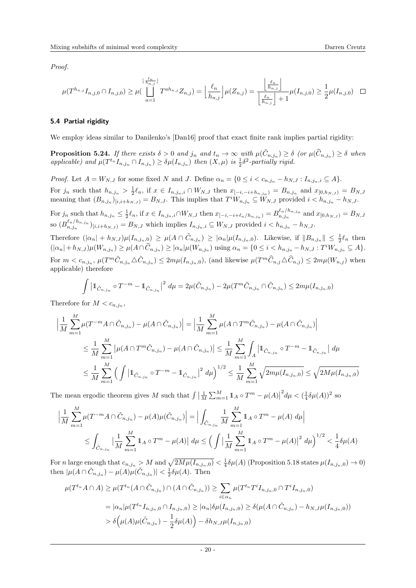Proof.

$$
\mu(T^{h_{n,j}}I_{n,j,0} \cap I_{n,j,0}) \geq \mu\left(\bigcup_{a=1}^{\lfloor \frac{\ell_n}{h_{n,j}} \rfloor} T^{ah_{n,j}} Z_{n,j}\right) = \left\lfloor \frac{\ell_n}{h_{n,j}} \right\rfloor \mu(Z_{n,j}) = \frac{\left\lfloor \frac{\ell_n}{h_{n,j}} \right\rfloor}{\left\lfloor \frac{\ell_n}{h_{n,j}} \right\rfloor + 1} \mu(I_{n,j,0}) \geq \frac{1}{2} \mu(I_{n,j,0}) \quad \Box
$$

### 5.4 Partial rigidity

We employ ideas similar to Danilenko's [\[Dan16\]](#page-21-21) proof that exact finite rank implies partial rigidity:

<span id="page-19-0"></span>**Proposition 5.24.** If there exists  $\delta > 0$  and  $j_n$  and  $t_n \to \infty$  with  $\mu(\tilde{C}_{n,j_n}) \geq \delta$  (or  $\mu(\tilde{C}_{n,j_n}) \geq \delta$  when applicable) and  $\mu(T^{t_n}I_{n,j_n} \cap I_{n,j_n}) \geq \delta \mu(I_{n,j_n})$  then  $(X, \mu)$  is  $\frac{1}{2}\delta^2$ -partially rigid.

*Proof.* Let  $A = W_{N,J}$  for some fixed N and J. Define  $\alpha_n = \{0 \le i < c_{n,j_n} - h_{N,J} : I_{n,j_n,i} \subseteq A\}.$ For  $j_n$  such that  $h_{n,j_n} > \frac{1}{2} \ell_n$ , if  $x \in I_{n,j_n,i} \cap W_{N,J}$  then  $x_{[-i,-i+h_{n,j_n})} = B_{n,j_n}$  and  $x_{[0,h_{N,J})} = B_{N,J}$ meaning that  $(B_{n,j_n})_{[i,i+h_{N,J})} = B_{N,J}$ . This implies that  $T^i W_{n,j_n} \subseteq W_{N,J}$  provided  $i < h_{n,j_n} - h_{N,J}$ .

For  $j_n$  such that  $h_{n,j_n} \leq \frac{1}{2} \ell_n$ , if  $x \in I_{n,j_n,i} \cap W_{N,J}$  then  $x_{[-i,-i+\ell_n/h_{n,j_n}]} = B_{n,j_n}^{\ell_n/h_{n,j_n}}$  and  $x_{[0,h_{N,J})} = B_{N,J}$ so  $(B^{\ell_n/h_{n,j_n}}_{n,j_n})_{[i,i+h_{N,J})} = B_{N,J}$  which implies  $I_{n,j_n,i} \subseteq W_{N,J}$  provided  $i < h_{n,j_n} - h_{N,J}$ .

Therefore  $(|\alpha_n| + h_{N,J})\mu(I_{n,j_n,0}) \geq \mu(A \cap \tilde{C}_{n,j_n}) \geq |\alpha_n|\mu(I_{n,j_n,0})$ . Likewise, if  $||B_{n,j_n}|| \leq \frac{1}{2}\ell_n$  then  $(|\alpha_n| + h_{N,J}) \mu(W_{n,j_n}) \geq \mu(A \cap \widehat{C}_{n,j_n}) \geq |\alpha_n| \mu(W_{n,j_n})$  using  $\alpha_n = \{0 \leq i < h_{n,j_n} - h_{N,J} : T^i W_{n,j_n} \subseteq A\}.$ For  $m < c_{n,j_n}$ ,  $\mu(T^m \tilde{C}_{n,j_n} \triangle \tilde{C}_{n,j_n}) \leq 2m\mu(I_{n,j_n,0})$ , (and likewise  $\mu(T^m \widehat{C}_{n,j} \triangle \widehat{C}_{n,j}) \leq 2m\mu(W_{n,j})$  when applicable) therefore

$$
\int |1 \tilde{C}_{n,j_n} \circ T^{-m} - 1 \tilde{C}_{n,j_n}|^2 d\mu = 2\mu(\tilde{C}_{n,j_n}) - 2\mu(T^m \tilde{C}_{n,j_n} \cap \tilde{C}_{n,j_n}) \leq 2m\mu(I_{n,j_n,0})
$$

Therefore for  $M < c_{n,j_n}$ ,

$$
\left| \frac{1}{M} \sum_{m=1}^{M} \mu(T^{-m} A \cap \tilde{C}_{n,j_n}) - \mu(A \cap \tilde{C}_{n,j_n}) \right| = \left| \frac{1}{M} \sum_{m=1}^{M} \mu(A \cap T^{m} \tilde{C}_{n,j_n}) - \mu(A \cap \tilde{C}_{n,j_n}) \right|
$$
  
\n
$$
\leq \frac{1}{M} \sum_{m=1}^{M} |\mu(A \cap T^{m} \tilde{C}_{n,j_n}) - \mu(A \cap \tilde{C}_{n,j_n})| \leq \frac{1}{M} \sum_{m=1}^{M} \int_{A} \left| 1_{\tilde{C}_{n,j_n}} \circ T^{-m} - 1_{\tilde{C}_{n,j_n}} \right| d\mu
$$
  
\n
$$
\leq \frac{1}{M} \sum_{m=1}^{M} \left( \int \left| 1_{\tilde{C}_{n,j_n}} \circ T^{-m} - 1_{\tilde{C}_{n,j_n}} \right|^{2} d\mu \right)^{1/2} \leq \frac{1}{M} \sum_{m=1}^{M} \sqrt{2m\mu(I_{n,j_n,0})} \leq \sqrt{2M\mu(I_{n,j_n,0})}
$$

The mean ergodic theorem gives M such that  $\int \left| \frac{1}{M} \sum_{m=1}^{M} \mathbb{1}_A \circ T^m - \mu(A) \right|$  $^{2}d\mu < (\frac{1}{4}\delta \mu(A))^{2}$  so

$$
\left| \frac{1}{M} \sum_{m=1}^{M} \mu(T^{-m} A \cap \tilde{C}_{n,j_n}) - \mu(A) \mu(\tilde{C}_{n,j_n}) \right| = \left| \int_{\tilde{C}_{n,j_n}} \frac{1}{M} \sum_{m=1}^{M} \mathbb{1}_A \circ T^m - \mu(A) d\mu \right|
$$
  

$$
\leq \int_{\tilde{C}_{n,j_n}} \left| \frac{1}{M} \sum_{m=1}^{M} \mathbb{1}_A \circ T^m - \mu(A) \right| d\mu \leq \left( \int \left| \frac{1}{M} \sum_{m=1}^{M} \mathbb{1}_A \circ T^m - \mu(A) \right|^2 d\mu \right)^{1/2} < \frac{1}{4} \delta \mu(A)
$$

For *n* large enough that  $c_{n,j_n} > M$  and  $\sqrt{2M\mu(I_{n,j_n,0})} < \frac{1}{4}\delta\mu(A)$  (Proposition [5.18](#page-18-1) states  $\mu(I_{n,j_n,0}) \to 0$ ) then  $|\mu(A \cap \tilde{C}_{n,j_n}) - \mu(A)\mu(\tilde{C}_{n,j_n})| < \frac{1}{2}\delta\mu(A)$ . Then

$$
\mu(T^{t_n}A \cap A) \ge \mu(T^{t_n}(A \cap \tilde{C}_{n,j_n}) \cap (A \cap \tilde{C}_{n,j_n})) \ge \sum_{i \in \alpha_n} \mu(T^{t_n}T^iI_{n,j_n,0} \cap T^iI_{n,j_n,0})
$$
  
=  $|\alpha_n|\mu(T^{t_n}I_{n,j_n,0} \cap I_{n,j_n,0}) \ge |\alpha_n|\delta\mu(I_{n,j_n,0}) \ge \delta(\mu(A \cap \tilde{C}_{n,j_n}) - h_{N,J}\mu(I_{n,j_n,0}))$   
>  $\delta(\mu(A)\mu(\tilde{C}_{n,j_n}) - \frac{1}{2}\delta\mu(A)) - \delta h_{N,J}\mu(I_{n,j_n,0})$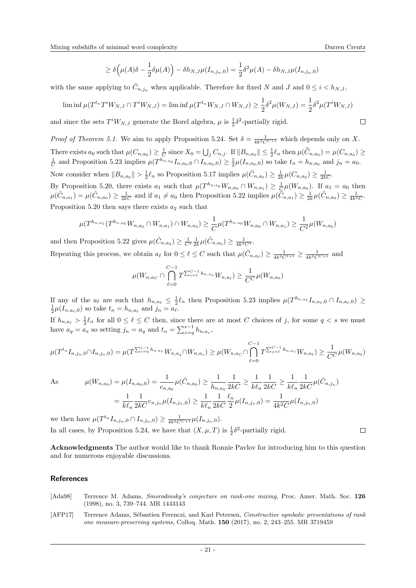$\Box$ 

$$
\geq \delta\left(\mu(A)\delta - \frac{1}{2}\delta\mu(A)\right) - \delta h_{N,J}\mu(I_{n,j_n,0}) = \frac{1}{2}\delta^2\mu(A) - \delta h_{N,J}\mu(I_{n,j_n,0})
$$

with the same applying to  $\hat{C}_{n,j_n}$  when applicable. Therefore for fixed N and J and  $0 \leq i \leq h_{N,J}$ ,

$$
\liminf \mu(T^{t_n}T^iW_{N,J} \cap T^iW_{N,J}) = \liminf \mu(T^{t_n}W_{N,J} \cap W_{N,J}) \ge \frac{1}{2}\delta^2 \mu(W_{N,J}) = \frac{1}{2}\delta^2 \mu(T^iW_{N,J})
$$

and since the sets  $T^iW_{N,J}$  generate the Borel algebra,  $\mu$  is  $\frac{1}{2}\delta^2$ -partially rigid.

*Proof of Theorem [5.1.](#page-14-0)* We aim to apply Proposition [5.24.](#page-19-0) Set  $\delta = \frac{1}{4k^2C^{C+1}}$  which depends only on X. There exists  $a_0$  such that  $\mu(C_{n,a_0}) \geq \frac{1}{C}$  since  $X_0 = \bigcup_j C_{n,j}$ . If  $||B_{n,a_0}|| \leq \frac{1}{2}\ell_n$  then  $\mu(\widehat{C}_{n,a_0}) = \mu(C_{n,a_0}) \geq$  $\frac{1}{C}$  and Proposition [5.23](#page-18-2) implies  $\mu(T^{h_{n,a_0}}I_{n,a_0,0} \cap I_{n,a_0,0}) \geq \frac{1}{2}\mu(I_{n,a_0,0})$  so take  $t_n = h_{n,a_0}$  and  $j_n = a_0$ . Now consider when  $||B_{n,a_0}|| > \frac{1}{2}\ell_n$  so Proposition [5.17](#page-18-3) implies  $\mu(\tilde{C}_{n,a_0}) \geq \frac{1}{2k}\mu(C_{n,a_0}) \geq \frac{1}{2kC}$ . By Proposition [5.20,](#page-18-4) there exists  $a_1$  such that  $\mu(T^{h_{n,a_0}}W_{n,a_0} \cap W_{n,a_1}) \geq \frac{1}{C}\mu(W_{n,a_0})$ . If  $a_1 = a_0$  then  $\mu(\tilde{C}_{n,a_1}) = \mu(\tilde{C}_{n,a_0}) \ge \frac{1}{2kC}$  and if  $a_1 \ne a_0$  then Proposition [5.22](#page-18-5) implies  $\mu(\tilde{C}_{n,a_1}) \ge \frac{1}{2k}\mu(\tilde{C}_{n,a_0}) \ge \frac{1}{4k^2C}$ . Proposition [5.20](#page-18-4) then says there exists  $a_2$  such that

$$
\mu(T^{h_{n,a_1}}(T^{h_{n,a_0}}W_{n,a_0} \cap W_{n,a_1}) \cap W_{n,a_2}) \ge \frac{1}{C} \mu(T^{h_{n,a_0}}W_{n,a_0} \cap W_{n,a_1}) \ge \frac{1}{C^2} \mu(W_{n,a_0})
$$

and then Proposition [5.22](#page-18-5) gives  $\mu(\tilde{C}_{n,a_2}) \geq \frac{1}{C^2} \frac{1}{2k} \mu(\tilde{C}_{n,a_0}) \geq \frac{1}{4k^2 C^3}$ . Repeating this process, we obtain  $a_\ell$  for  $0 \leq \ell \leq C$  such that  $\mu(\tilde{C}_{n,a_\ell}) \geq \frac{1}{4k^2C^{\ell+1}} \geq \frac{1}{4k^2C^{\ell+1}}$  and

$$
\mu(W_{n,a_C} \cap \bigcap_{\ell=0}^{C-1} T^{\sum_{z=\ell}^{C-1} h_{n,a_z}} W_{n,a_{\ell}}) \ge \frac{1}{C^C} \mu(W_{n,a_0})
$$

If any of the  $a_\ell$  are such that  $h_{n,a_\ell} \leq \frac{1}{2} \ell_n$  then Proposition [5.23](#page-18-2) implies  $\mu(T^{h_{n,a_\ell}} I_{n,a_\ell,0} \cap I_{n,a_\ell,0}) \geq$  $\frac{1}{2}\mu(I_{n,a_{\ell},0})$  so take  $t_n = h_{n,a_{\ell}}$  and  $j_n = a_{\ell}$ .

If  $h_{n,a_\ell} > \frac{1}{2}\ell_n$  for all  $0 \leq \ell \leq C$  then, since there are at most C choices of j, for some  $q < s$  we must have  $a_q = a_s$  so setting  $j_n = a_q$  and  $t_n = \sum_{z=q}^{s-1} h_{n,a_z}$ ,

$$
\mu(T^{t_n}I_{n,j_n,0} \cap I_{n,j_n,0}) = \mu(T^{\sum_{z=q}^{s-1} h_{n,a_z}} W_{n,a_q} \cap W_{n,a_s}) \ge \mu(W_{n,a_c} \cap \bigcap_{\ell=0}^{C-1} T^{\sum_{z=\ell}^{C-1} h_{n,a_z}} W_{n,a_\ell}) \ge \frac{1}{C^C} \mu(W_{n,a_0})
$$

 $As$ 

$$
\mu(W_{n,a_0}) = \mu(I_{n,a_0,0}) = \frac{1}{c_{n,a_0}} \mu(\tilde{C}_{n,a_0}) \ge \frac{1}{h_{n,a_0}} \frac{1}{2kC} \ge \frac{1}{k\ell_n} \frac{1}{2kC} \ge \frac{1}{k\ell_n} \frac{1}{2kC} \mu(\tilde{C}_{n,j_n})
$$

$$
= \frac{1}{k\ell_n} \frac{1}{2kC} c_{n,j_n} \mu(I_{n,j_n,0}) \ge \frac{1}{k\ell_n} \frac{1}{2kC} \frac{\ell_n}{2} \mu(I_{n,j_n,0}) = \frac{1}{4k^2C} \mu(I_{n,j_n,0})
$$

we then have  $\mu(T^{t_n}I_{n,j_n,0} \cap I_{n,j_n,0}) \geq \frac{1}{4k^2C^{C+1}}\mu(I_{n,j_n,0}).$ In all cases, by Proposition [5.24,](#page-19-0) we have that  $(X, \mu, T)$  is  $\frac{1}{2}\delta^2$ -partially rigid.

Acknowledgments The author would like to thank Ronnie Pavlov for introducing him to this question and for numerous enjoyable discussions.

# References

- <span id="page-20-0"></span>[Ada98] Terrence M. Adams, Smorodinsky's conjecture on rank-one mixing, Proc. Amer. Math. Soc. 126 (1998), no. 3, 739–744. MR 1443143
- <span id="page-20-1"></span>[AFP17] Terrence Adams, Sébastien Ferenczi, and Karl Petersen, Constructive symbolic presentations of rank one measure-preserving systems, Colloq. Math. 150 (2017), no. 2, 243–255. MR 3719459